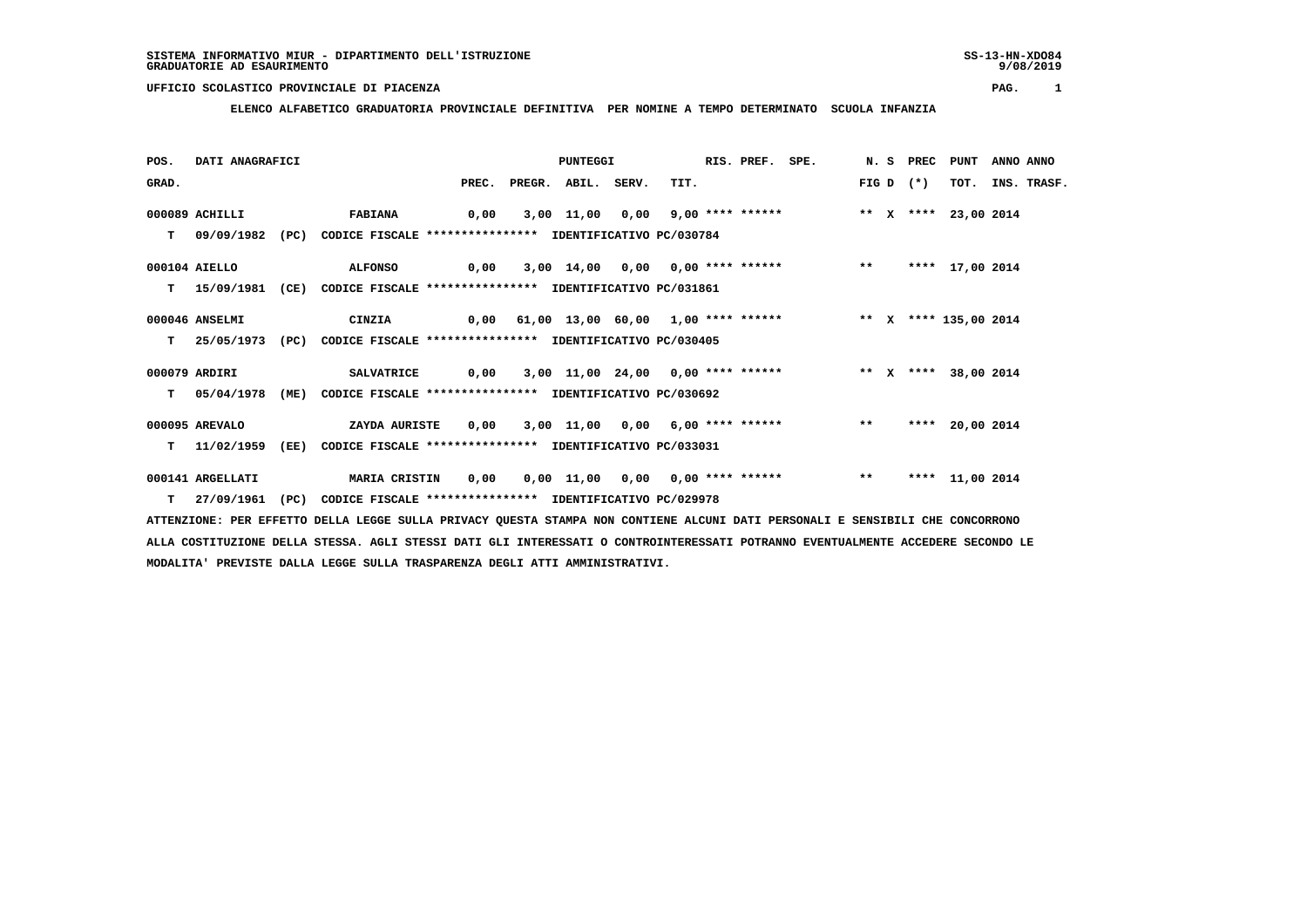9/08/2019

# **UFFICIO SCOLASTICO PROVINCIALE DI PIACENZA PAG. 1**

 **ELENCO ALFABETICO GRADUATORIA PROVINCIALE DEFINITIVA PER NOMINE A TEMPO DETERMINATO SCUOLA INFANZIA**

| POS.  | DATI ANAGRAFICI   |      |                                                                         |      |                          | PUNTEGGI |      | RIS. PREF. | SPE.                                                                    |       | N.S PREC    | PUNT            | ANNO ANNO |                  |
|-------|-------------------|------|-------------------------------------------------------------------------|------|--------------------------|----------|------|------------|-------------------------------------------------------------------------|-------|-------------|-----------------|-----------|------------------|
| GRAD. |                   |      |                                                                         |      | PREC. PREGR. ABIL. SERV. |          | TIT. |            |                                                                         |       | FIG D $(*)$ |                 |           | TOT. INS. TRASF. |
|       | 000089 ACHILLI    |      | <b>FABIANA</b>                                                          | 0,00 |                          |          |      |            | 3,00 11,00 0,00 9,00 **** ****** **** *** X **** 23,00 2014             |       |             |                 |           |                  |
|       | T 09/09/1982 (PC) |      | CODICE FISCALE **************** IDENTIFICATIVO PC/030784                |      |                          |          |      |            |                                                                         |       |             |                 |           |                  |
|       | 000104 AIELLO     |      | <b>ALFONSO</b>                                                          | 0,00 |                          |          |      |            | 3,00 14,00 0,00 0,00 **** ****** *** **                                 |       |             | **** 17,00 2014 |           |                  |
|       | 15/09/1981        | (CE) | CODICE FISCALE **************** IDENTIFICATIVO PC/031861                |      |                          |          |      |            |                                                                         |       |             |                 |           |                  |
|       | 000046 ANSELMI    |      | <b>CINZIA</b>                                                           |      |                          |          |      |            | 0,00 61,00 13,00 60,00 1,00 **** ******           ** x **** 135,00 2014 |       |             |                 |           |                  |
| т     |                   |      | 25/05/1973 (PC) CODICE FISCALE *************** IDENTIFICATIVO PC/030405 |      |                          |          |      |            |                                                                         |       |             |                 |           |                  |
|       | 000079 ARDIRI     |      | <b>SALVATRICE</b>                                                       | 0,00 |                          |          |      |            | 3,00 11,00 24,00 0,00 **** ****** * * * * * *** 38,00 2014              |       |             |                 |           |                  |
| T.    | 05/04/1978        | (ME) | CODICE FISCALE **************** IDENTIFICATIVO PC/030692                |      |                          |          |      |            |                                                                         |       |             |                 |           |                  |
|       | 000095 AREVALO    |      | ZAYDA AURISTE                                                           |      |                          |          |      |            | $0,00$ $3,00$ $11,00$ $0,00$ $6,00$ **** ******                         | $***$ | ****        | 20,00 2014      |           |                  |
| T.    | 11/02/1959        | (EE) | CODICE FISCALE **************** IDENTIFICATIVO PC/033031                |      |                          |          |      |            |                                                                         |       |             |                 |           |                  |
|       | 000141 ARGELLATI  |      | <b>MARIA CRISTIN</b>                                                    | 0,00 |                          |          |      |            | 0,00 11,00 0,00 0,00 **** ******                                        | $***$ |             | **** 11,00 2014 |           |                  |
|       | $T = 27/09/1961$  | (PC) | CODICE FISCALE **************** IDENTIFICATIVO PC/029978                |      |                          |          |      |            |                                                                         |       |             |                 |           |                  |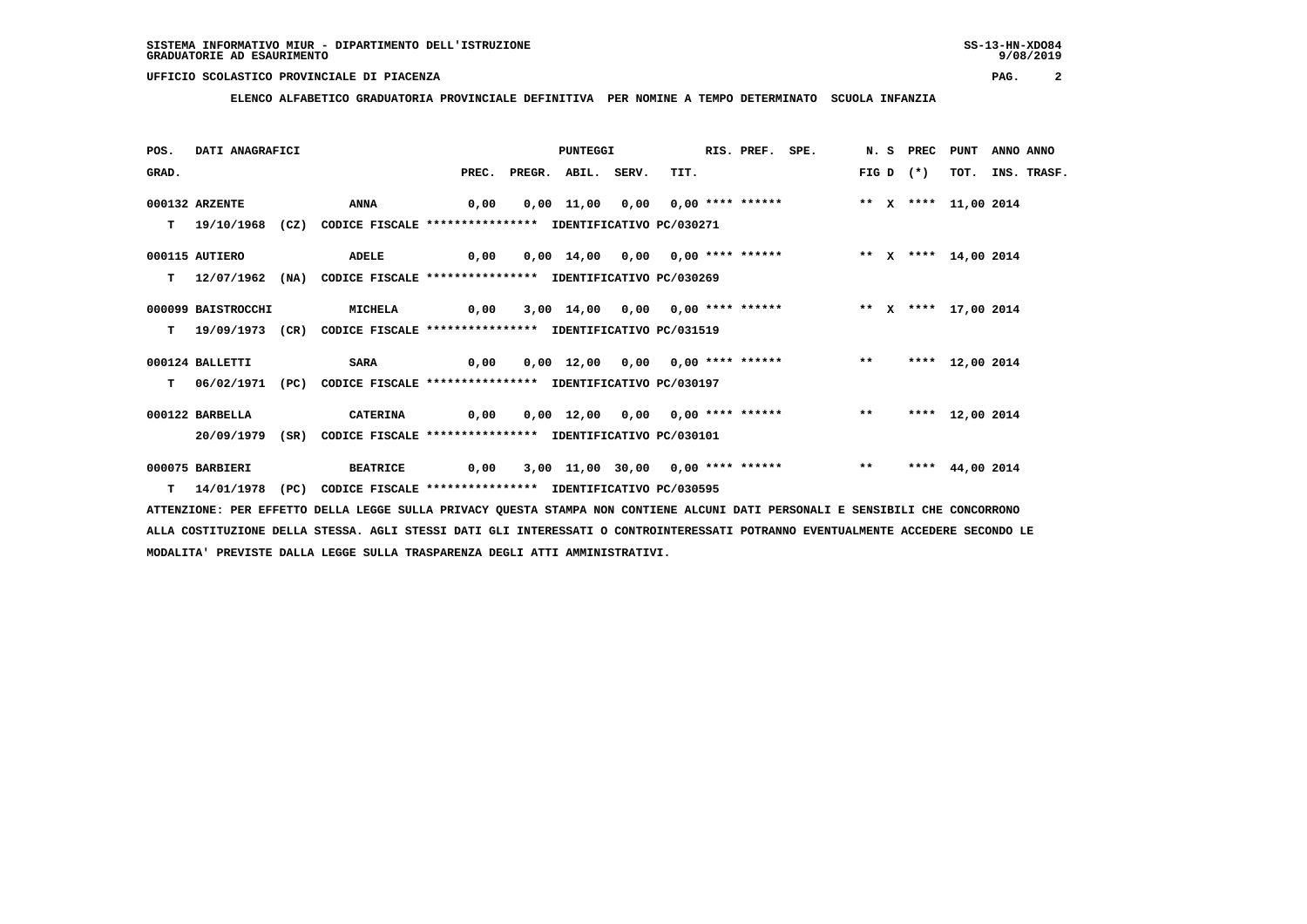**ELENCO ALFABETICO GRADUATORIA PROVINCIALE DEFINITIVA PER NOMINE A TEMPO DETERMINATO SCUOLA INFANZIA**

| POS.  | DATI ANAGRAFICI    |      |                                                                         |                                                                           | PUNTEGGI     |       |                                                                     | RIS. PREF. SPE. |       |       | N.S PREC | PUNT            | ANNO ANNO |             |
|-------|--------------------|------|-------------------------------------------------------------------------|---------------------------------------------------------------------------|--------------|-------|---------------------------------------------------------------------|-----------------|-------|-------|----------|-----------------|-----------|-------------|
| GRAD. |                    |      |                                                                         | PREC.                                                                     | PREGR. ABIL. | SERV. | TIT.                                                                |                 |       | FIG D | $(*)$    | TOT.            |           | INS. TRASF. |
|       | 000132 ARZENTE     |      | ANNA                                                                    | 0,00                                                                      |              |       | $0,00$ 11,00 0,00 0,00 **** ****** * ** * **** 11,00 2014           |                 |       |       |          |                 |           |             |
|       | 19/10/1968         |      | (CZ) CODICE FISCALE **************** IDENTIFICATIVO PC/030271           |                                                                           |              |       |                                                                     |                 |       |       |          |                 |           |             |
|       | 000115 AUTIERO     |      | ADELE                                                                   | 0,00                                                                      |              |       | 0,00 14,00 0,00 0,00 **** ******               ** x **** 14,00 2014 |                 |       |       |          |                 |           |             |
|       | 12/07/1962 (NA)    |      | CODICE FISCALE **************** IDENTIFICATIVO PC/030269                |                                                                           |              |       |                                                                     |                 |       |       |          |                 |           |             |
|       | 000099 BAISTROCCHI |      | <b>MICHELA</b>                                                          | 0,00   3,00  14,00   0,00   0,00 **** ******       **  x ****  17,00 2014 |              |       |                                                                     |                 |       |       |          |                 |           |             |
| T.    |                    |      | 19/09/1973 (CR) CODICE FISCALE *************** IDENTIFICATIVO PC/031519 |                                                                           |              |       |                                                                     |                 |       |       |          |                 |           |             |
|       | 000124 BALLETTI    |      | <b>SARA</b>                                                             | 0,00                                                                      |              |       | 0,00 12,00 0,00 0,00 **** ****** *** **                             |                 |       |       |          | **** 12,00 2014 |           |             |
|       | 06/02/1971 (PC)    |      | CODICE FISCALE **************** IDENTIFICATIVO PC/030197                |                                                                           |              |       |                                                                     |                 |       |       |          |                 |           |             |
|       | 000122 BARBELLA    |      | <b>CATERINA</b>                                                         | 0,00                                                                      |              |       | 0,00 12,00 0,00 0,00 **** ******                                    |                 |       | $***$ |          | **** 12,00 2014 |           |             |
|       | 20/09/1979         | (SR) | CODICE FISCALE **************** IDENTIFICATIVO PC/030101                |                                                                           |              |       |                                                                     |                 |       |       |          |                 |           |             |
|       | 000075 BARBIERI    |      | <b>BEATRICE</b>                                                         |                                                                           |              |       | 0,00 3,00 11,00 30,00 0,00 **** ******                              |                 | $***$ |       | ****     | 44,00 2014      |           |             |
|       | 14/01/1978 (PC)    |      | CODICE FISCALE **************** IDENTIFICATIVO PC/030595                |                                                                           |              |       |                                                                     |                 |       |       |          |                 |           |             |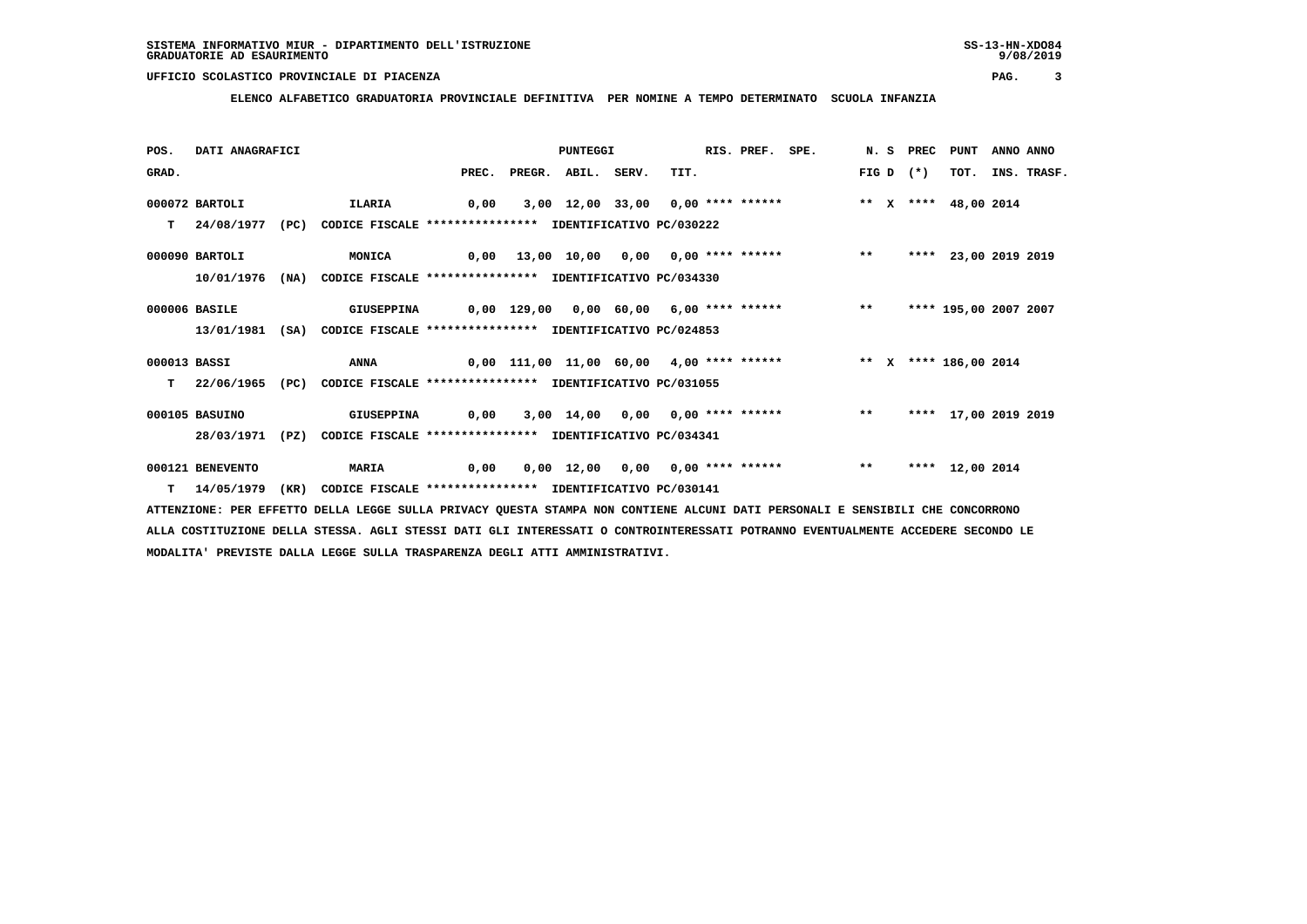**ELENCO ALFABETICO GRADUATORIA PROVINCIALE DEFINITIVA PER NOMINE A TEMPO DETERMINATO SCUOLA INFANZIA**

| POS.         | DATI ANAGRAFICI  |      |                                                                          |       | <b>PUNTEGGI</b> |       |                                                                    | RIS. PREF. SPE. |       | N. S PREC | <b>PUNT</b>           | ANNO ANNO |             |
|--------------|------------------|------|--------------------------------------------------------------------------|-------|-----------------|-------|--------------------------------------------------------------------|-----------------|-------|-----------|-----------------------|-----------|-------------|
| GRAD.        |                  |      |                                                                          | PREC. | PREGR. ABIL.    | SERV. | TIT.                                                               |                 | FIG D | $(*)$     | TOT.                  |           | INS. TRASF. |
|              | 000072 BARTOLI   |      | ILARIA                                                                   | 0,00  |                 |       | 3,00 12,00 33,00 0,00 **** ******                                  |                 |       |           | ** X **** 48,00 2014  |           |             |
| т            | 24/08/1977       | (PC) | CODICE FISCALE **************** IDENTIFICATIVO PC/030222                 |       |                 |       |                                                                    |                 |       |           |                       |           |             |
|              |                  |      |                                                                          |       |                 |       |                                                                    |                 |       |           |                       |           |             |
|              | 000090 BARTOLI   |      | <b>MONICA</b>                                                            |       |                 |       | 0,00 13,00 10,00 0,00 0,00 **** ****** *** **                      |                 |       |           | **** 23,00 2019 2019  |           |             |
|              | 10/01/1976       |      | (NA) CODICE FISCALE **************** IDENTIFICATIVO PC/034330            |       |                 |       |                                                                    |                 |       |           |                       |           |             |
|              |                  |      |                                                                          |       |                 |       |                                                                    |                 |       |           |                       |           |             |
|              | 000006 BASILE    |      | <b>GIUSEPPINA</b>                                                        |       |                 |       | 0,00 129,00 0,00 60,00 6,00 **** ******           **               |                 |       |           | **** 195,00 2007 2007 |           |             |
|              | 13/01/1981       |      | (SA) CODICE FISCALE **************** IDENTIFICATIVO PC/024853            |       |                 |       |                                                                    |                 |       |           |                       |           |             |
| 000013 BASSI |                  |      | ANNA                                                                     |       |                 |       | 0,00 111,00 11,00 60,00 4,00 **** ****** **** *** **** 186,00 2014 |                 |       |           |                       |           |             |
|              |                  |      |                                                                          |       |                 |       |                                                                    |                 |       |           |                       |           |             |
| т            |                  |      | 22/06/1965 (PC) CODICE FISCALE **************** IDENTIFICATIVO PC/031055 |       |                 |       |                                                                    |                 |       |           |                       |           |             |
|              | 000105 BASUINO   |      | <b>GIUSEPPINA</b>                                                        | 0,00  |                 |       | 3,00 14,00 0,00 0,00 **** ******                                   |                 | $***$ |           | **** 17,00 2019 2019  |           |             |
|              | 28/03/1971       | (PZ) | CODICE FISCALE **************** IDENTIFICATIVO PC/034341                 |       |                 |       |                                                                    |                 |       |           |                       |           |             |
|              |                  |      |                                                                          |       |                 |       |                                                                    |                 |       |           |                       |           |             |
|              | 000121 BENEVENTO |      | <b>MARIA</b>                                                             | 0,00  |                 |       | $0,00$ 12,00 0,00 0,00 **** ******                                 |                 | $* *$ |           | **** 12,00 2014       |           |             |
|              | 14/05/1979       | (KR) | CODICE FISCALE **************** IDENTIFICATIVO PC/030141                 |       |                 |       |                                                                    |                 |       |           |                       |           |             |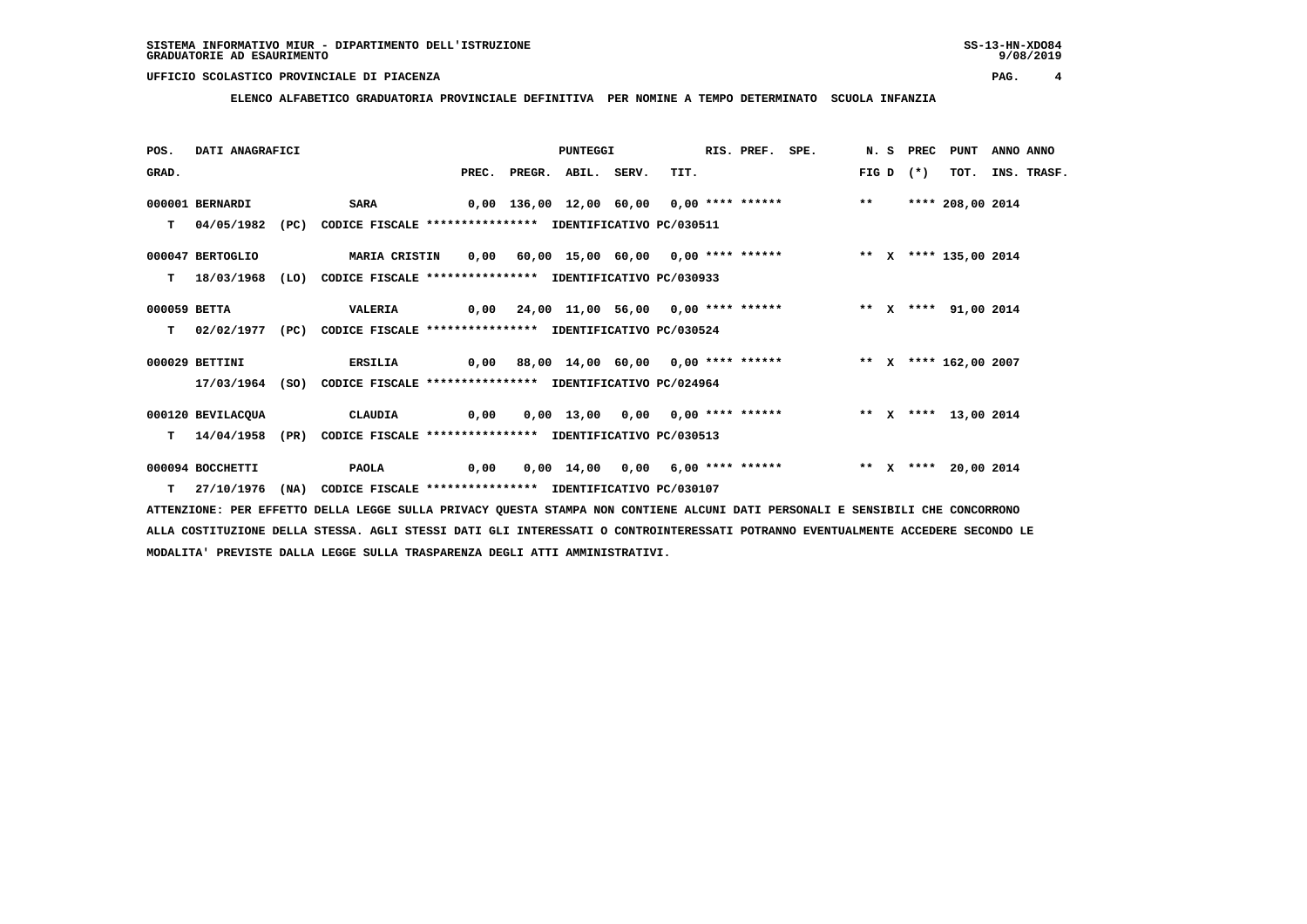**ELENCO ALFABETICO GRADUATORIA PROVINCIALE DEFINITIVA PER NOMINE A TEMPO DETERMINATO SCUOLA INFANZIA**

| POS.         | DATI ANAGRAFICI   |      |                                                                                    |       | PUNTEGGI           |                                                                                       | RIS. PREF. SPE. |       | N.S PREC | PUNT                 | ANNO ANNO |                  |
|--------------|-------------------|------|------------------------------------------------------------------------------------|-------|--------------------|---------------------------------------------------------------------------------------|-----------------|-------|----------|----------------------|-----------|------------------|
| GRAD.        |                   |      |                                                                                    | PREC. | PREGR. ABIL. SERV. | TIT.                                                                                  |                 | FIG D | $(*)$    |                      |           | TOT. INS. TRASF. |
|              | 000001 BERNARDI   |      | <b>SARA</b>                                                                        |       |                    | 0,00 136,00 12,00 60,00 0,00 **** ****** *** **                                       |                 |       |          | **** 208,00 2014     |           |                  |
| T.           | 04/05/1982        |      | (PC) CODICE FISCALE **************** IDENTIFICATIVO PC/030511                      |       |                    |                                                                                       |                 |       |          |                      |           |                  |
|              | 000047 BERTOGLIO  |      | MARIA CRISTIN 0,00 60,00 15,00 60,00 0,00 **** ****** *** ** ** X **** 135,00 2014 |       |                    |                                                                                       |                 |       |          |                      |           |                  |
|              |                   |      | T 18/03/1968 (LO) CODICE FISCALE *************** IDENTIFICATIVO PC/030933          |       |                    |                                                                                       |                 |       |          |                      |           |                  |
| 000059 BETTA |                   |      | <b>VALERIA</b>                                                                     |       |                    | 0,00 24,00 11,00 56,00 0,00 **** ******     ** x **** 91,00 2014                      |                 |       |          |                      |           |                  |
|              | T 02/02/1977 (PC) |      | CODICE FISCALE **************** IDENTIFICATIVO PC/030524                           |       |                    |                                                                                       |                 |       |          |                      |           |                  |
|              | 000029 BETTINI    |      | <b>ERSILIA</b>                                                                     |       |                    | 0,00 88,00 14,00 60,00 0,00 **** ****** * ** * * * *** 162,00 2007                    |                 |       |          |                      |           |                  |
|              |                   |      | 17/03/1964 (SO) CODICE FISCALE *************** IDENTIFICATIVO PC/024964            |       |                    |                                                                                       |                 |       |          |                      |           |                  |
|              | 000120 BEVILACQUA |      | CLAUDIA                                                                            |       |                    | 0,00  0,00  13,00  0,00  0,00  ****  ******                 **    x ****  13,00  2014 |                 |       |          |                      |           |                  |
| T.           | 14/04/1958        | (PR) | CODICE FISCALE **************** IDENTIFICATIVO PC/030513                           |       |                    |                                                                                       |                 |       |          |                      |           |                  |
|              | 000094 BOCCHETTI  |      | <b>PAOLA</b>                                                                       | 0,00  |                    | 0,00 14,00 0,00 6,00 **** ******                                                      |                 |       |          | ** X **** 20,00 2014 |           |                  |
|              |                   |      | T 27/10/1976 (NA) CODICE FISCALE **************** IDENTIFICATIVO PC/030107         |       |                    |                                                                                       |                 |       |          |                      |           |                  |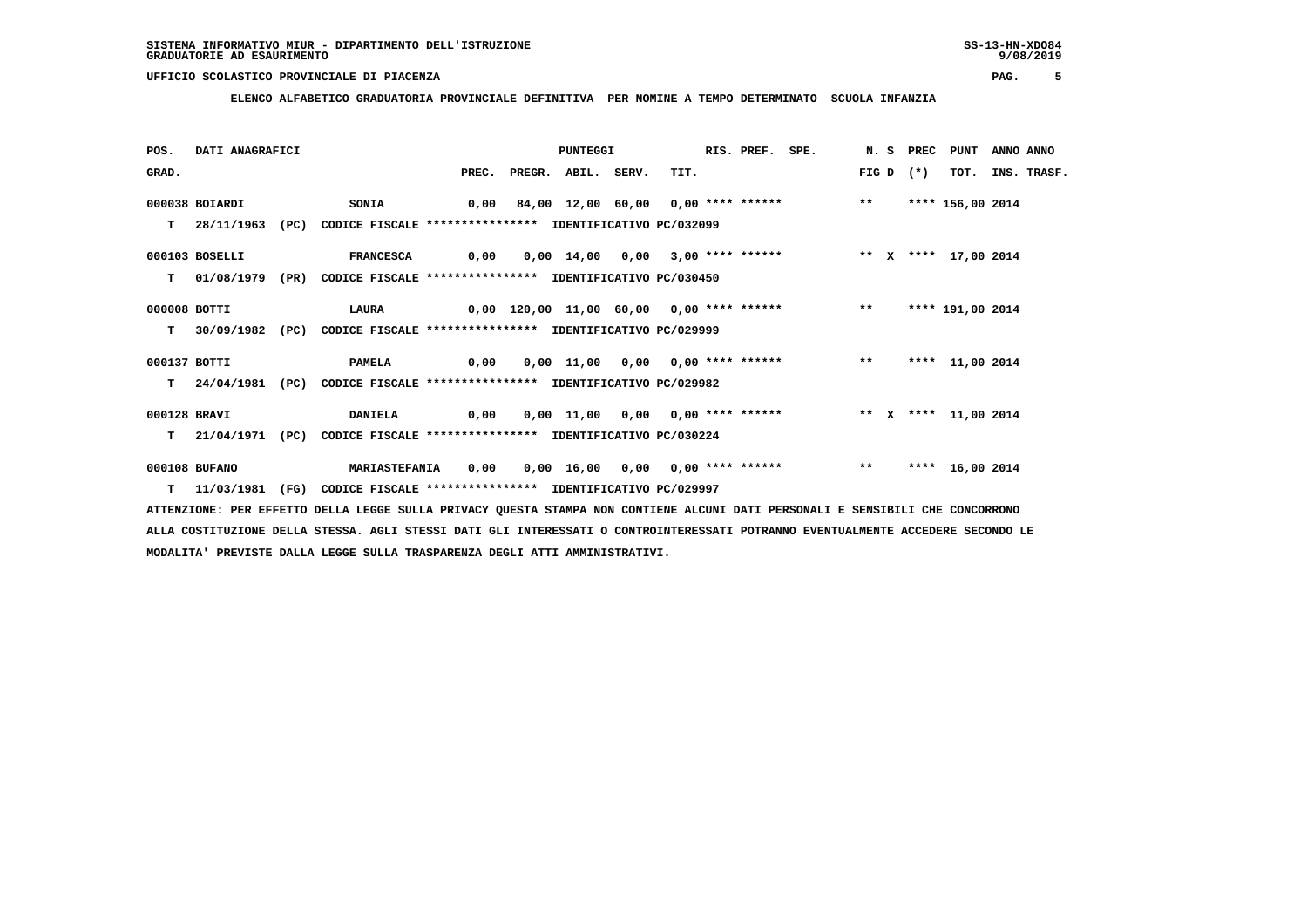**ELENCO ALFABETICO GRADUATORIA PROVINCIALE DEFINITIVA PER NOMINE A TEMPO DETERMINATO SCUOLA INFANZIA**

| POS.         | DATI ANAGRAFICI |                                                                            |       |              | PUNTEGGI |       |                                                                    | RIS. PREF. SPE. |       |        | N. S PREC PUNT   | ANNO ANNO |                  |
|--------------|-----------------|----------------------------------------------------------------------------|-------|--------------|----------|-------|--------------------------------------------------------------------|-----------------|-------|--------|------------------|-----------|------------------|
| GRAD.        |                 |                                                                            | PREC. | PREGR. ABIL. |          | SERV. | TIT.                                                               |                 | FIG D | $(* )$ |                  |           | TOT. INS. TRASF. |
|              | 000038 BOIARDI  | <b>SONIA</b>                                                               |       |              |          |       | $0,00$ 84,00 12,00 60,00 0,00 **** ****** *** **                   |                 |       |        | **** 156,00 2014 |           |                  |
|              |                 | 28/11/1963 (PC) CODICE FISCALE *************** IDENTIFICATIVO PC/032099    |       |              |          |       |                                                                    |                 |       |        |                  |           |                  |
|              | 000103 BOSELLI  | FRANCESCA 0,00 0,00 14,00 0,00 3,00 **** ****** *** ** ** **** 17,00 2014  |       |              |          |       |                                                                    |                 |       |        |                  |           |                  |
|              |                 | T 01/08/1979 (PR) CODICE FISCALE **************** IDENTIFICATIVO PC/030450 |       |              |          |       |                                                                    |                 |       |        |                  |           |                  |
| 000008 BOTTI |                 |                                                                            |       |              |          |       |                                                                    |                 |       |        | **** 191,00 2014 |           |                  |
| T.           |                 | 30/09/1982 (PC) CODICE FISCALE *************** IDENTIFICATIVO PC/029999    |       |              |          |       |                                                                    |                 |       |        |                  |           |                  |
| 000137 BOTTI |                 | <b>PAMELA</b>                                                              |       |              |          |       |                                                                    |                 |       |        | **** 11,00 2014  |           |                  |
|              |                 | T 24/04/1981 (PC) CODICE FISCALE *************** IDENTIFICATIVO PC/029982  |       |              |          |       |                                                                    |                 |       |        |                  |           |                  |
| 000128 BRAVI |                 | <b>DANIELA</b>                                                             |       |              |          |       | 0,00  0,00 11,00  0,00  0,00 **** ******      ** x **** 11,00 2014 |                 |       |        |                  |           |                  |
| T.           |                 | 21/04/1971 (PC) CODICE FISCALE **************** IDENTIFICATIVO PC/030224   |       |              |          |       |                                                                    |                 |       |        |                  |           |                  |
|              | 000108 BUFANO   | <b>MARIASTEFANIA</b>                                                       | 0,00  |              |          |       | 0,00 16,00 0,00 0,00 **** ****** *** **                            |                 |       |        | **** 16,00 2014  |           |                  |
|              | T 11/03/1981    | (FG) CODICE FISCALE **************** IDENTIFICATIVO PC/029997              |       |              |          |       |                                                                    |                 |       |        |                  |           |                  |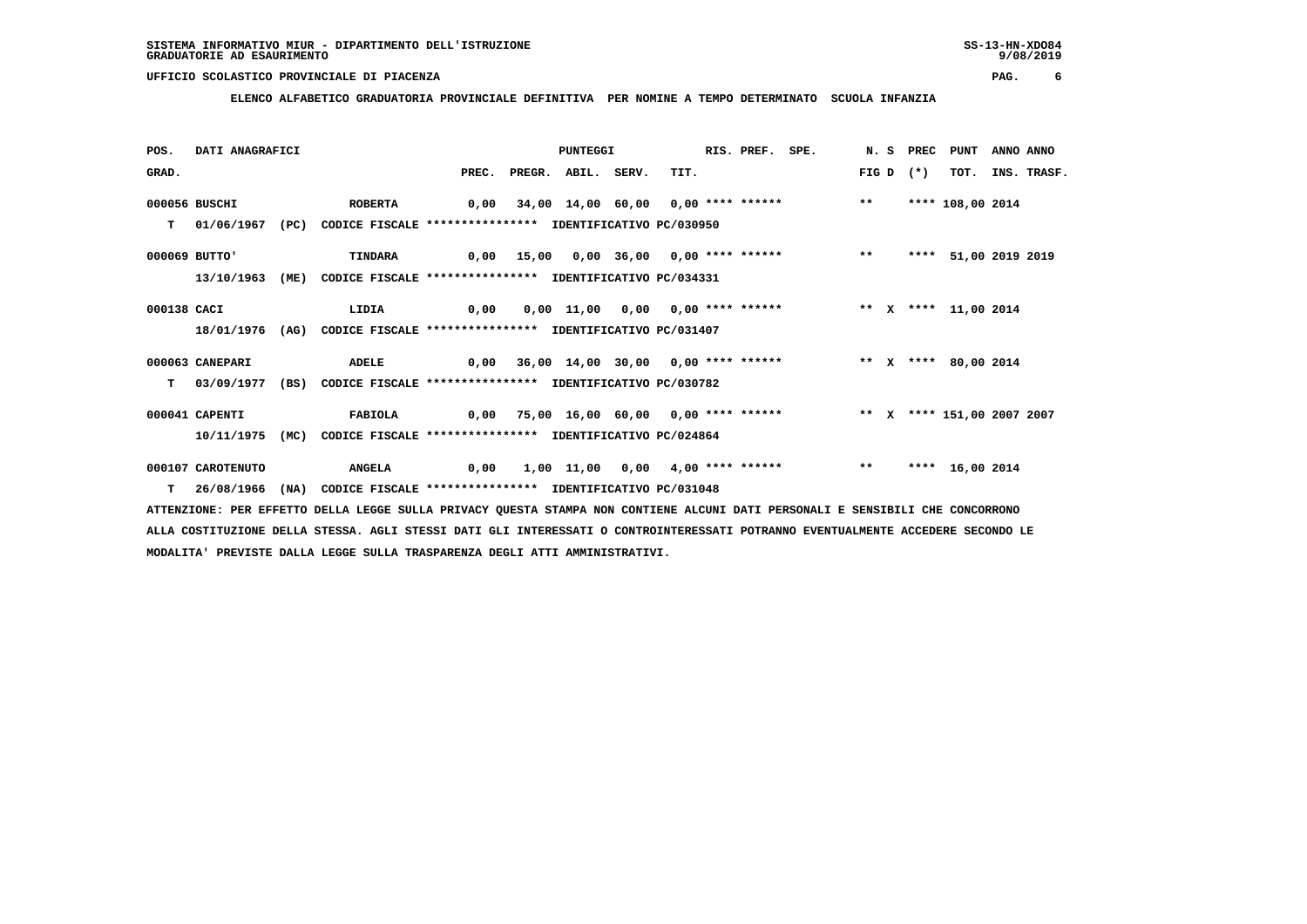**ELENCO ALFABETICO GRADUATORIA PROVINCIALE DEFINITIVA PER NOMINE A TEMPO DETERMINATO SCUOLA INFANZIA**

| POS.        | DATI ANAGRAFICI   |      |                                                                          |                                                                        | PUNTEGGI     |       |                                                                   | RIS. PREF. SPE. |       | N. S PREC | PUNT                 | ANNO ANNO |             |
|-------------|-------------------|------|--------------------------------------------------------------------------|------------------------------------------------------------------------|--------------|-------|-------------------------------------------------------------------|-----------------|-------|-----------|----------------------|-----------|-------------|
| GRAD.       |                   |      |                                                                          | PREC.                                                                  | PREGR. ABIL. | SERV. | TIT.                                                              |                 | FIG D | $(*)$     | TOT.                 |           | INS. TRASF. |
|             | 000056 BUSCHI     |      | <b>ROBERTA</b>                                                           |                                                                        |              |       | 0,00 34,00 14,00 60,00 0,00 **** ****** *** **                    |                 |       |           | **** 108,00 2014     |           |             |
| т           | 01/06/1967        |      | (PC) CODICE FISCALE *************** IDENTIFICATIVO PC/030950             |                                                                        |              |       |                                                                   |                 |       |           |                      |           |             |
|             | 000069 BUTTO'     |      | <b>TINDARA</b>                                                           |                                                                        |              |       | 0,00 15,00 0,00 36,00 0,00 **** ******           **               |                 |       |           | **** 51,00 2019 2019 |           |             |
|             | 13/10/1963        | (ME) | CODICE FISCALE **************** IDENTIFICATIVO PC/034331                 |                                                                        |              |       |                                                                   |                 |       |           |                      |           |             |
| 000138 CACI |                   |      | LIDIA                                                                    | $\overline{0,00}$                                                      |              |       | 0,00 11,00 0,00 0,00 **** ******             ** x **** 11,00 2014 |                 |       |           |                      |           |             |
|             |                   |      | 18/01/1976 (AG) CODICE FISCALE **************** IDENTIFICATIVO PC/031407 |                                                                        |              |       |                                                                   |                 |       |           |                      |           |             |
|             | 000063 CANEPARI   |      | ADELE                                                                    | 0,00 36,00 14,00 30,00 0,00 **** ******     ** x **** 80,00 2014       |              |       |                                                                   |                 |       |           |                      |           |             |
| т           | 03/09/1977        | (BS) | CODICE FISCALE **************** IDENTIFICATIVO PC/030782                 |                                                                        |              |       |                                                                   |                 |       |           |                      |           |             |
|             | 000041 CAPENTI    |      | <b>FABIOLA</b>                                                           | 0,00 75,00 16,00 60,00 0,00 **** ******     ** x **** 151,00 2007 2007 |              |       |                                                                   |                 |       |           |                      |           |             |
|             | 10/11/1975        | (MC) | CODICE FISCALE **************** IDENTIFICATIVO PC/024864                 |                                                                        |              |       |                                                                   |                 |       |           |                      |           |             |
|             | 000107 CAROTENUTO |      | <b>ANGELA</b>                                                            | 0,00                                                                   |              |       | $1,00$ $11,00$ $0,00$ $4,00$ **** ****** *** **                   |                 |       |           | **** 16,00 2014      |           |             |
| T.          | 26/08/1966        | (NA) | CODICE FISCALE **************** IDENTIFICATIVO PC/031048                 |                                                                        |              |       |                                                                   |                 |       |           |                      |           |             |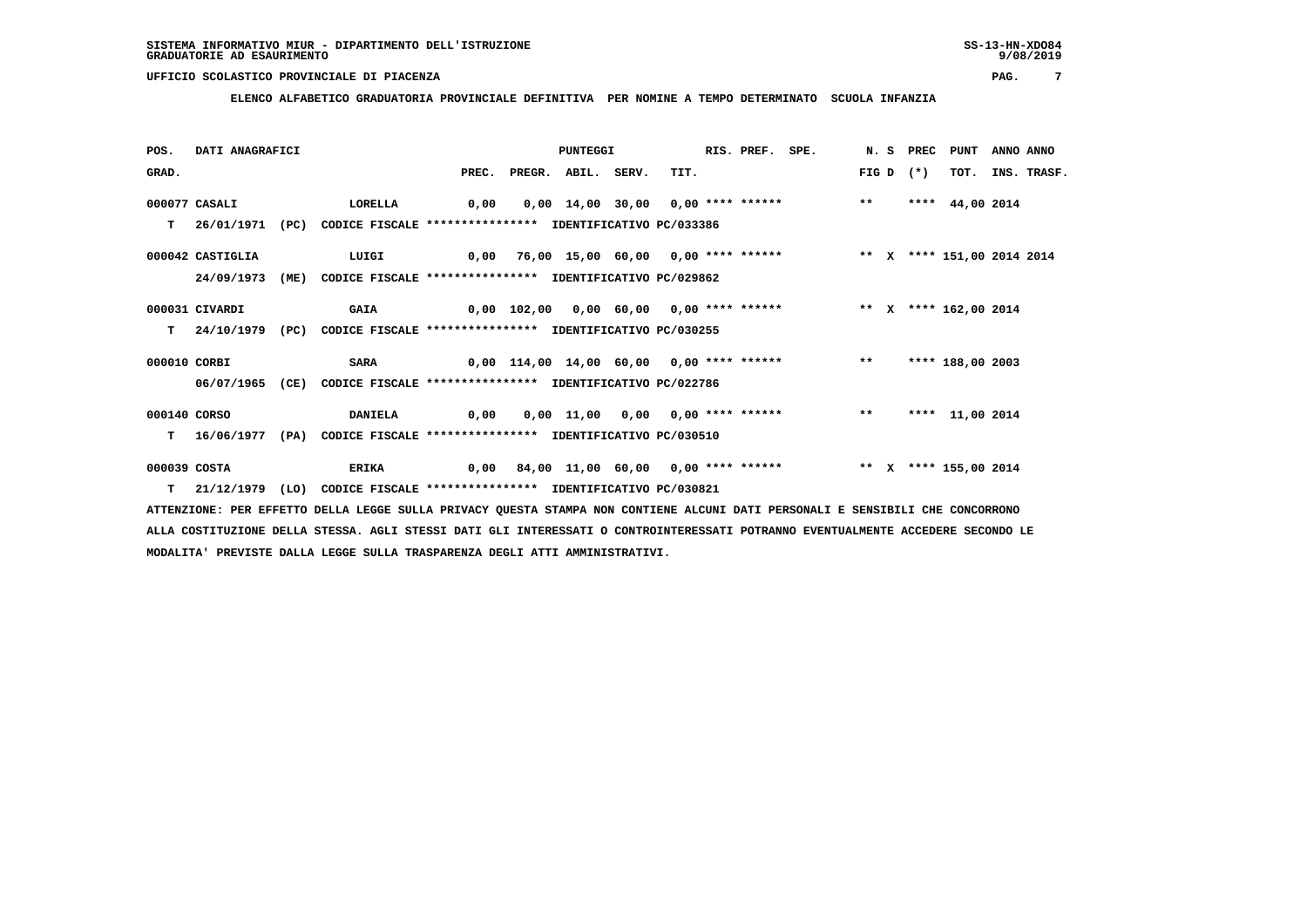**ELENCO ALFABETICO GRADUATORIA PROVINCIALE DEFINITIVA PER NOMINE A TEMPO DETERMINATO SCUOLA INFANZIA**

| POS.         | DATI ANAGRAFICI  |      |                                                                         |       | PUNTEGGI     |       |                                                                         | RIS. PREF. SPE. |       | N. S PREC | PUNT                  | ANNO ANNO |             |
|--------------|------------------|------|-------------------------------------------------------------------------|-------|--------------|-------|-------------------------------------------------------------------------|-----------------|-------|-----------|-----------------------|-----------|-------------|
| GRAD.        |                  |      |                                                                         | PREC. | PREGR. ABIL. | SERV. | TIT.                                                                    |                 | FIG D | $(*)$     | TOT.                  |           | INS. TRASF. |
|              | 000077 CASALI    |      | LORELLA                                                                 | 0,00  |              |       | 0,00 14,00 30,00 0,00 **** ******                                       |                 | $***$ |           | **** $44,00$ 2014     |           |             |
| т            | 26/01/1971       | (PC) | CODICE FISCALE **************** IDENTIFICATIVO PC/033386                |       |              |       |                                                                         |                 |       |           |                       |           |             |
|              |                  |      |                                                                         |       |              |       |                                                                         |                 |       |           |                       |           |             |
|              | 000042 CASTIGLIA |      | LUIGI                                                                   |       |              |       | 0,00 76,00 15,00 60,00 0,00 **** ****** *** ** ** **** 151,00 2014 2014 |                 |       |           |                       |           |             |
|              | 24/09/1973       | (ME) | CODICE FISCALE **************** IDENTIFICATIVO PC/029862                |       |              |       |                                                                         |                 |       |           |                       |           |             |
|              |                  |      |                                                                         |       |              |       |                                                                         |                 |       |           |                       |           |             |
|              | 000031 CIVARDI   |      | <b>GAIA</b>                                                             |       |              |       | 0,00 102,00 0,00 60,00 0,00 **** ******           ** x **** 162,00 2014 |                 |       |           |                       |           |             |
| T.           | 24/10/1979       |      | (PC) CODICE FISCALE **************** IDENTIFICATIVO PC/030255           |       |              |       |                                                                         |                 |       |           |                       |           |             |
|              |                  |      |                                                                         |       |              |       |                                                                         |                 |       |           |                       |           |             |
| 000010 CORBI |                  |      | SARA                                                                    |       |              |       | $0,00$ 114,00 14,00 60,00 0,00 **** ****** *** **                       |                 |       |           | **** 188,00 2003      |           |             |
|              |                  |      | 06/07/1965 (CE) CODICE FISCALE *************** IDENTIFICATIVO PC/022786 |       |              |       |                                                                         |                 |       |           |                       |           |             |
|              |                  |      |                                                                         |       |              |       |                                                                         |                 |       |           |                       |           |             |
| 000140 CORSO |                  |      | <b>DANIELA</b>                                                          | 0,00  |              |       | 0,00 11,00 0,00 0,00 **** ******                                        |                 | $***$ |           | **** 11,00 2014       |           |             |
| T.           | 16/06/1977       | (PA) | CODICE FISCALE **************** IDENTIFICATIVO PC/030510                |       |              |       |                                                                         |                 |       |           |                       |           |             |
|              |                  |      |                                                                         |       |              |       |                                                                         |                 |       |           |                       |           |             |
| 000039 COSTA |                  |      | ERIKA                                                                   | 0,00  |              |       | 84,00 11,00 60,00 0,00 **** ******                                      |                 |       |           | ** X **** 155,00 2014 |           |             |
|              | $T = 21/12/1979$ | (LO) | CODICE FISCALE **************** IDENTIFICATIVO PC/030821                |       |              |       |                                                                         |                 |       |           |                       |           |             |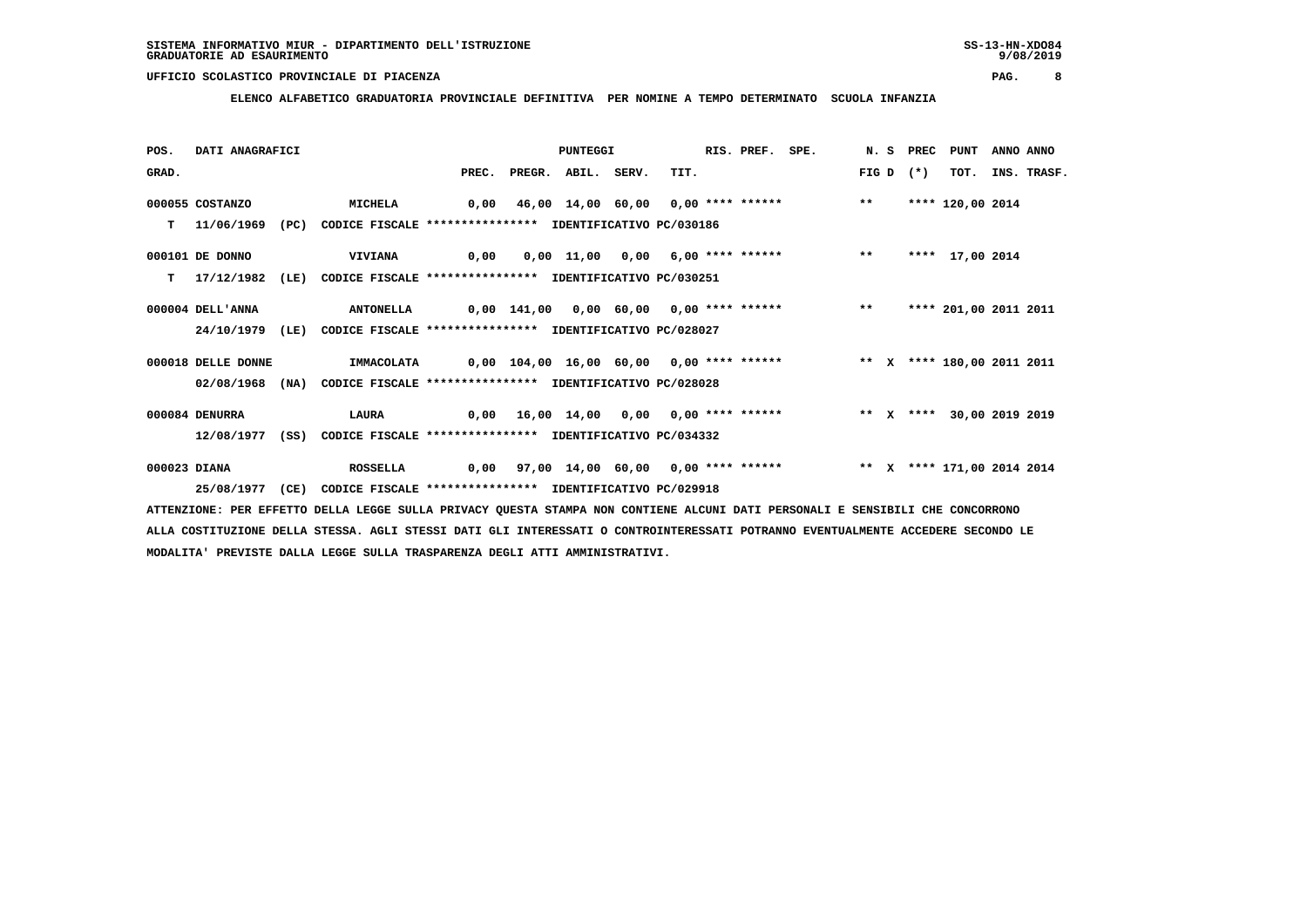**ELENCO ALFABETICO GRADUATORIA PROVINCIALE DEFINITIVA PER NOMINE A TEMPO DETERMINATO SCUOLA INFANZIA**

| POS.         | DATI ANAGRAFICI    |      |                                                          |      |                          | PUNTEGGI |                                                                        | RIS. PREF. SPE. |       | N.S PREC | PUNT                  | ANNO ANNO |                  |
|--------------|--------------------|------|----------------------------------------------------------|------|--------------------------|----------|------------------------------------------------------------------------|-----------------|-------|----------|-----------------------|-----------|------------------|
| GRAD.        |                    |      |                                                          |      | PREC. PREGR. ABIL. SERV. |          | TIT.                                                                   |                 | FIG D | $(*)$    |                       |           | TOT. INS. TRASF. |
|              | 000055 COSTANZO    |      | <b>MICHELA</b>                                           | 0,00 |                          |          | 46,00 14,00 60,00 0,00 **** ****** *** **                              |                 |       |          | **** 120,00 2014      |           |                  |
| T.           | 11/06/1969         | (PC) | CODICE FISCALE **************** IDENTIFICATIVO PC/030186 |      |                          |          |                                                                        |                 |       |          |                       |           |                  |
|              | 000101 DE DONNO    |      | <b>VIVIANA</b>                                           | 0,00 |                          |          | 0,00 11,00 0,00 6,00 **** ******                                       |                 | $* *$ |          | **** 17,00 2014       |           |                  |
| т            | 17/12/1982         | (LE) | CODICE FISCALE **************** IDENTIFICATIVO PC/030251 |      |                          |          |                                                                        |                 |       |          |                       |           |                  |
|              | 000004 DELL'ANNA   |      | <b>ANTONELLA</b>                                         |      |                          |          | 0,00 141,00 0,00 60,00 0,00 **** ****** *** **                         |                 |       |          | **** 201,00 2011 2011 |           |                  |
|              | 24/10/1979         | (LE) | CODICE FISCALE **************** IDENTIFICATIVO PC/028027 |      |                          |          |                                                                        |                 |       |          |                       |           |                  |
|              | 000018 DELLE DONNE |      | <b>IMMACOLATA</b>                                        |      |                          |          |                                                                        |                 |       |          |                       |           |                  |
|              | 02/08/1968 (NA)    |      | CODICE FISCALE **************** IDENTIFICATIVO PC/028028 |      |                          |          |                                                                        |                 |       |          |                       |           |                  |
|              | 000084 DENURRA     |      | LAURA                                                    |      |                          |          | 0,00 16,00 14,00 0,00 0,00 **** ****** * *** * **** 30,00 2019 2019    |                 |       |          |                       |           |                  |
|              | 12/08/1977         | (SS) | CODICE FISCALE **************** IDENTIFICATIVO PC/034332 |      |                          |          |                                                                        |                 |       |          |                       |           |                  |
| 000023 DIANA |                    |      | <b>ROSSELLA</b>                                          |      |                          |          | 0,00 97,00 14,00 60,00 0,00 **** ****** **** *** **** 171,00 2014 2014 |                 |       |          |                       |           |                  |
|              | 25/08/1977         | (CE) | CODICE FISCALE **************** IDENTIFICATIVO PC/029918 |      |                          |          |                                                                        |                 |       |          |                       |           |                  |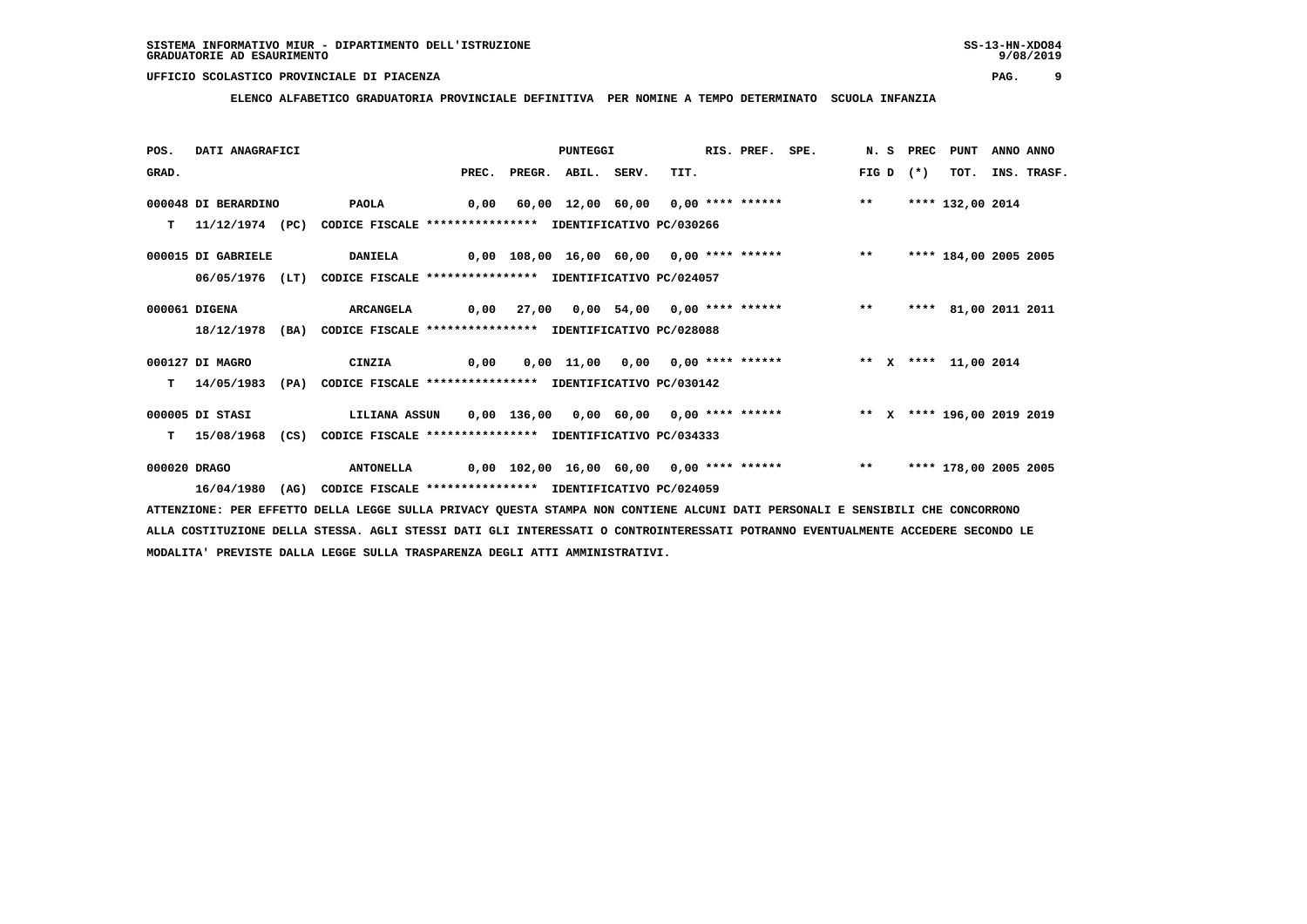**ELENCO ALFABETICO GRADUATORIA PROVINCIALE DEFINITIVA PER NOMINE A TEMPO DETERMINATO SCUOLA INFANZIA**

| POS.         | DATI ANAGRAFICI     |      |                                                                          |      |                          | PUNTEGGI |                                                                         | RIS. PREF. SPE. |       | N.S PREC | PUNT                  | ANNO ANNO |             |
|--------------|---------------------|------|--------------------------------------------------------------------------|------|--------------------------|----------|-------------------------------------------------------------------------|-----------------|-------|----------|-----------------------|-----------|-------------|
| GRAD.        |                     |      |                                                                          |      | PREC. PREGR. ABIL. SERV. |          | TIT.                                                                    |                 | FIG D | $(*)$    | TOT.                  |           | INS. TRASF. |
|              | 000048 DI BERARDINO |      | <b>PAOLA</b>                                                             |      |                          |          | 0,00 60,00 12,00 60,00 0,00 **** ******           **                    |                 |       |          | **** 132,00 2014      |           |             |
| T.           |                     |      | 11/12/1974 (PC) CODICE FISCALE *************** IDENTIFICATIVO PC/030266  |      |                          |          |                                                                         |                 |       |          |                       |           |             |
|              | 000015 DI GABRIELE  |      | <b>DANIELA</b>                                                           |      |                          |          | 0,00 108,00 16,00 60,00 0,00 **** ******             **                 |                 |       |          | **** 184,00 2005 2005 |           |             |
|              | $06/05/1976$ (LT)   |      | CODICE FISCALE **************** IDENTIFICATIVO PC/024057                 |      |                          |          |                                                                         |                 |       |          |                       |           |             |
|              | 000061 DIGENA       |      | <b>ARCANGELA</b>                                                         |      |                          |          | 0,00 27,00 0,00 54,00 0,00 **** ****** *** **                           |                 |       |          | **** 81,00 2011 2011  |           |             |
|              |                     |      | 18/12/1978 (BA) CODICE FISCALE **************** IDENTIFICATIVO PC/028088 |      |                          |          |                                                                         |                 |       |          |                       |           |             |
|              | 000127 DI MAGRO     |      | <b>CINZIA</b>                                                            | 0,00 |                          |          | 0,00 11,00 0,00 0,00 **** ******           ** x **** 11,00 2014         |                 |       |          |                       |           |             |
| т            | 14/05/1983          | (PA) | CODICE FISCALE **************** IDENTIFICATIVO PC/030142                 |      |                          |          |                                                                         |                 |       |          |                       |           |             |
|              | 000005 DI STASI     |      | LILIANA ASSUN                                                            |      |                          |          | 0,00 136,00 0,00 60,00 0,00 **** ****** *** ** ** **** 196,00 2019 2019 |                 |       |          |                       |           |             |
| т            | 15/08/1968          | (CS) | CODICE FISCALE **************** IDENTIFICATIVO PC/034333                 |      |                          |          |                                                                         |                 |       |          |                       |           |             |
| 000020 DRAGO |                     |      | <b>ANTONELLA</b>                                                         |      |                          |          | 0,00 102,00 16,00 60,00 0,00 **** ******           **                   |                 |       |          | **** 178,00 2005 2005 |           |             |
|              | 16/04/1980          | (AG) | CODICE FISCALE **************** IDENTIFICATIVO PC/024059                 |      |                          |          |                                                                         |                 |       |          |                       |           |             |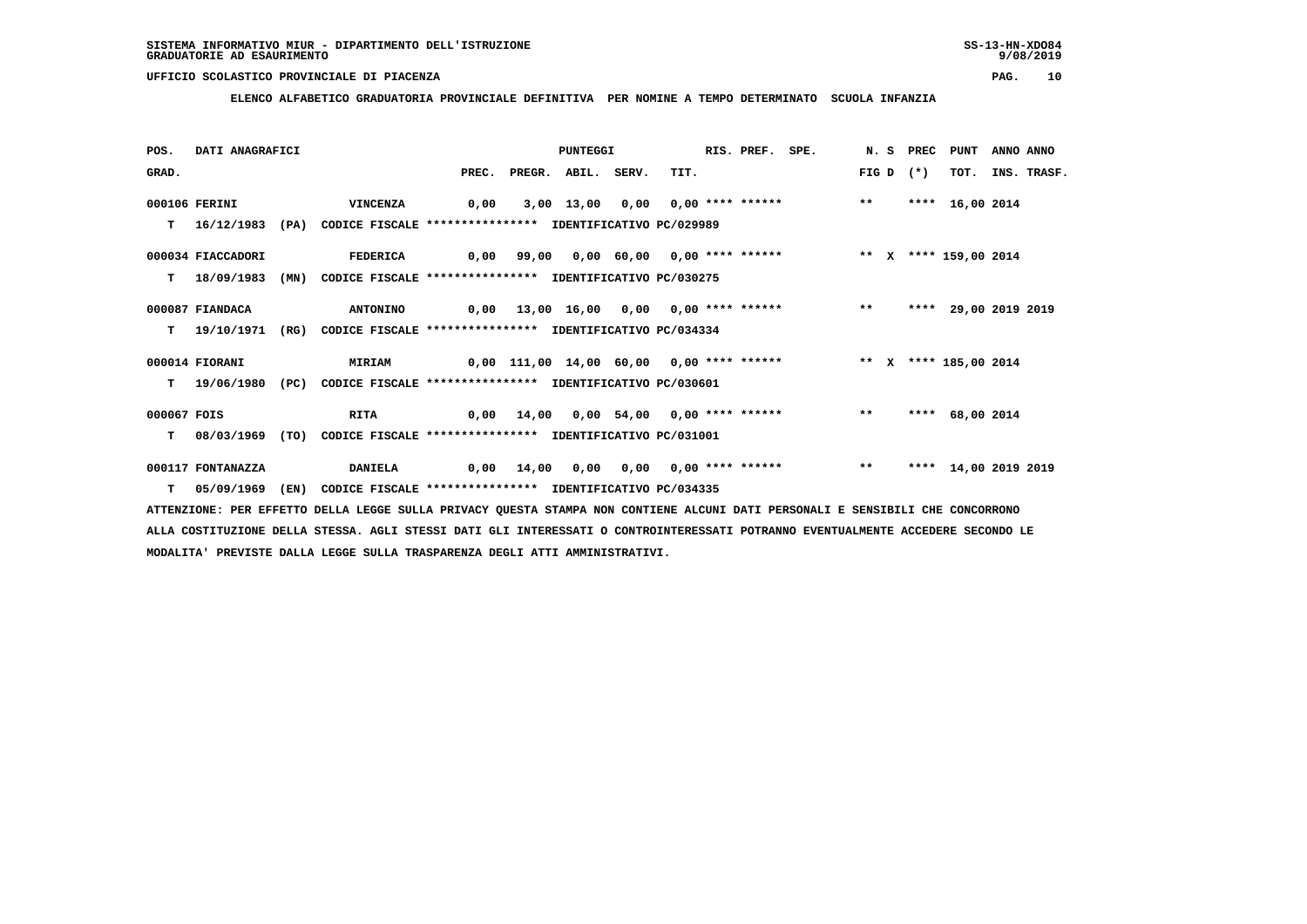**ELENCO ALFABETICO GRADUATORIA PROVINCIALE DEFINITIVA PER NOMINE A TEMPO DETERMINATO SCUOLA INFANZIA**

| POS.        | DATI ANAGRAFICI   |      |                                                               |                                                                      | <b>PUNTEGGI</b>    |                                                                          | RIS. PREF. | SPE. |       | N. S PREC | PUNT                 | ANNO ANNO |             |
|-------------|-------------------|------|---------------------------------------------------------------|----------------------------------------------------------------------|--------------------|--------------------------------------------------------------------------|------------|------|-------|-----------|----------------------|-----------|-------------|
| GRAD.       |                   |      |                                                               | PREC.                                                                | PREGR. ABIL. SERV. | TIT.                                                                     |            |      | FIG D | $(*)$     | TOT.                 |           | INS. TRASF. |
|             | 000106 FERINI     |      | <b>VINCENZA</b>                                               | 0,00                                                                 |                    | 3,00 13,00 0,00 0,00 **** ****** *** **                                  |            |      |       |           | **** 16,00 2014      |           |             |
| т           | 16/12/1983        |      | (PA) CODICE FISCALE **************** IDENTIFICATIVO PC/029989 |                                                                      |                    |                                                                          |            |      |       |           |                      |           |             |
|             | 000034 FIACCADORI |      | <b>FEDERICA</b>                                               |                                                                      |                    | 0,00 99,00 0,00 60,00 0,00 **** ******             ** x **** 159,00 2014 |            |      |       |           |                      |           |             |
| т           | 18/09/1983        | (MN) | CODICE FISCALE **************** IDENTIFICATIVO PC/030275      |                                                                      |                    |                                                                          |            |      |       |           |                      |           |             |
|             | 000087 FIANDACA   |      | <b>ANTONINO</b>                                               |                                                                      |                    | 0,00 13,00 16,00 0,00 0,00 **** ****** *** **                            |            |      |       |           | **** 29,00 2019 2019 |           |             |
| т           | 19/10/1971        | (RG) | CODICE FISCALE **************** IDENTIFICATIVO PC/034334      |                                                                      |                    |                                                                          |            |      |       |           |                      |           |             |
|             | 000014 FIORANI    |      | <b>MIRIAM</b>                                                 | 0,00 111,00 14,00 60,00  0,00 **** ******      ** x **** 185,00 2014 |                    |                                                                          |            |      |       |           |                      |           |             |
| т           | 19/06/1980        | (PC) | CODICE FISCALE **************** IDENTIFICATIVO PC/030601      |                                                                      |                    |                                                                          |            |      |       |           |                      |           |             |
| 000067 FOIS |                   |      | <b>RITA</b>                                                   |                                                                      |                    | 0,00 14,00 0,00 54,00 0,00 **** ******                                   |            |      | $***$ | ****      | 68,00 2014           |           |             |
| т           | 08/03/1969        | (TO) | CODICE FISCALE **************** IDENTIFICATIVO PC/031001      |                                                                      |                    |                                                                          |            |      |       |           |                      |           |             |
|             | 000117 FONTANAZZA |      | <b>DANIELA</b>                                                | 0,00                                                                 |                    | 14,00 0,00 0,00 0,00 **** ******                                         |            |      | $***$ |           | **** 14,00 2019 2019 |           |             |
| T.          | 05/09/1969        | (EN) | CODICE FISCALE **************** IDENTIFICATIVO PC/034335      |                                                                      |                    |                                                                          |            |      |       |           |                      |           |             |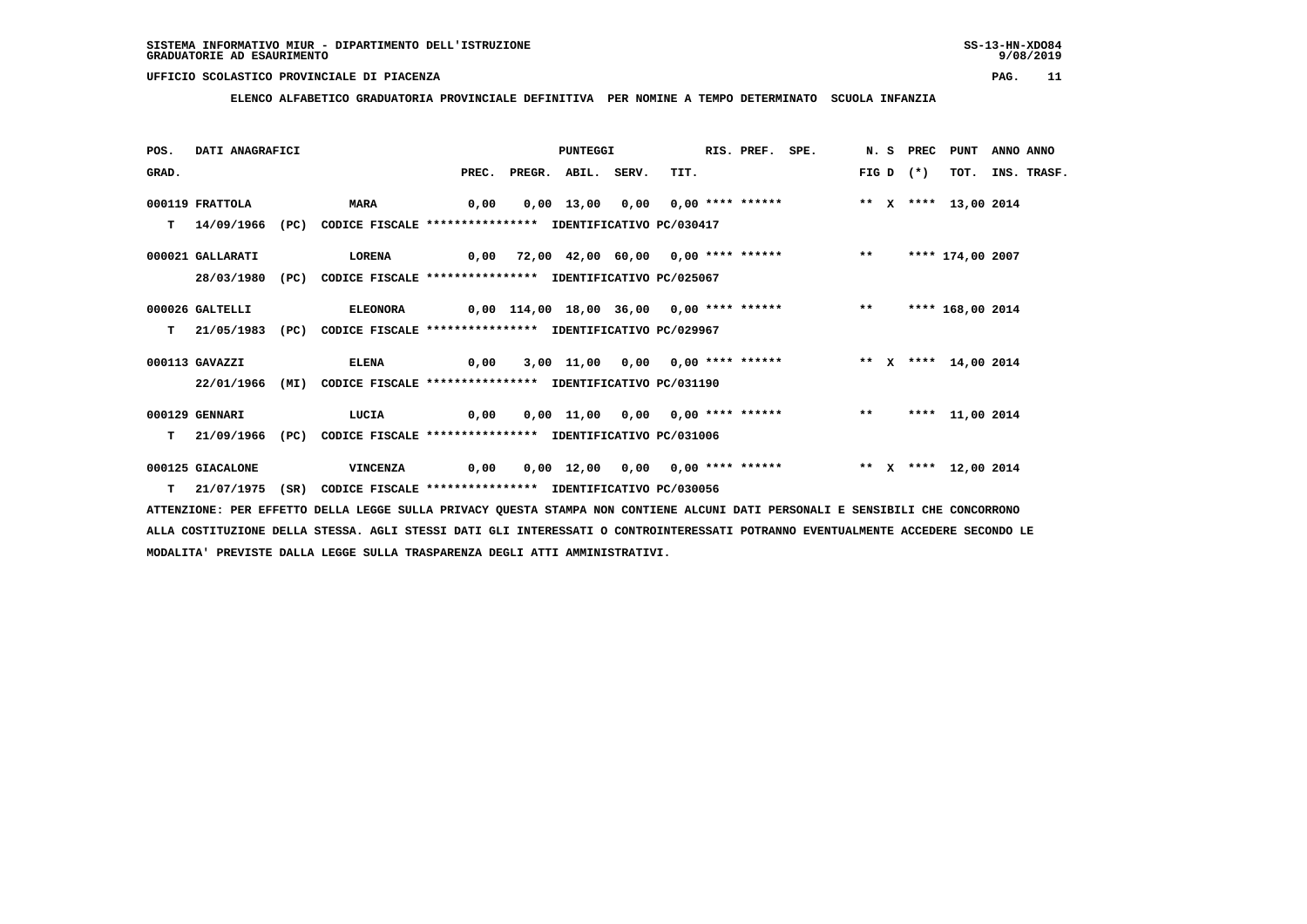**ELENCO ALFABETICO GRADUATORIA PROVINCIALE DEFINITIVA PER NOMINE A TEMPO DETERMINATO SCUOLA INFANZIA**

| POS.  | DATI ANAGRAFICI  |      |                                                               |       | PUNTEGGI     |       |                                                 | RIS. PREF. SPE. |       | N.S PREC | PUNT                 | ANNO ANNO |                  |
|-------|------------------|------|---------------------------------------------------------------|-------|--------------|-------|-------------------------------------------------|-----------------|-------|----------|----------------------|-----------|------------------|
| GRAD. |                  |      |                                                               | PREC. | PREGR. ABIL. | SERV. | TIT.                                            |                 | FIG D | $(*)$    |                      |           | TOT. INS. TRASF. |
|       | 000119 FRATTOLA  |      | <b>MARA</b>                                                   | 0,00  |              |       | $0,00$ 13,00 0,00 0,00 **** ******              |                 |       |          | ** X **** 13,00 2014 |           |                  |
| т     | 14/09/1966       | (PC) | CODICE FISCALE **************** IDENTIFICATIVO PC/030417      |       |              |       |                                                 |                 |       |          |                      |           |                  |
|       | 000021 GALLARATI |      | LORENA                                                        |       |              |       | 0,00 72,00 42,00 60,00 0,00 **** ****** *** **  |                 |       |          | **** 174,00 2007     |           |                  |
|       | 28/03/1980       |      | (PC) CODICE FISCALE **************** IDENTIFICATIVO PC/025067 |       |              |       |                                                 |                 |       |          |                      |           |                  |
|       | 000026 GALTELLI  |      | <b>ELEONORA</b>                                               |       |              |       | 0,00 114,00 18,00 36,00 0,00 **** ****** *** ** |                 |       |          | **** 168,00 2014     |           |                  |
| T.    | 21/05/1983       | (PC) | CODICE FISCALE **************** IDENTIFICATIVO PC/029967      |       |              |       |                                                 |                 |       |          |                      |           |                  |
|       | 000113 GAVAZZI   |      | <b>ELENA</b>                                                  | 0,00  |              |       |                                                 |                 |       |          |                      |           |                  |
|       | 22/01/1966       | (MI) | CODICE FISCALE **************** IDENTIFICATIVO PC/031190      |       |              |       |                                                 |                 |       |          |                      |           |                  |
|       | 000129 GENNARI   |      | LUCIA                                                         | 0,00  |              |       | 0,00 11,00 0,00 0,00 **** ******                |                 | $***$ |          | **** 11,00 2014      |           |                  |
| т     | 21/09/1966       | (PC) | CODICE FISCALE **************** IDENTIFICATIVO PC/031006      |       |              |       |                                                 |                 |       |          |                      |           |                  |
|       | 000125 GIACALONE |      | <b>VINCENZA</b>                                               | 0,00  |              |       | 0,00 12,00 0,00 0,00 **** ******                |                 |       |          | ** X **** 12,00 2014 |           |                  |
|       | T 21/07/1975     | (SR) | CODICE FISCALE **************** IDENTIFICATIVO PC/030056      |       |              |       |                                                 |                 |       |          |                      |           |                  |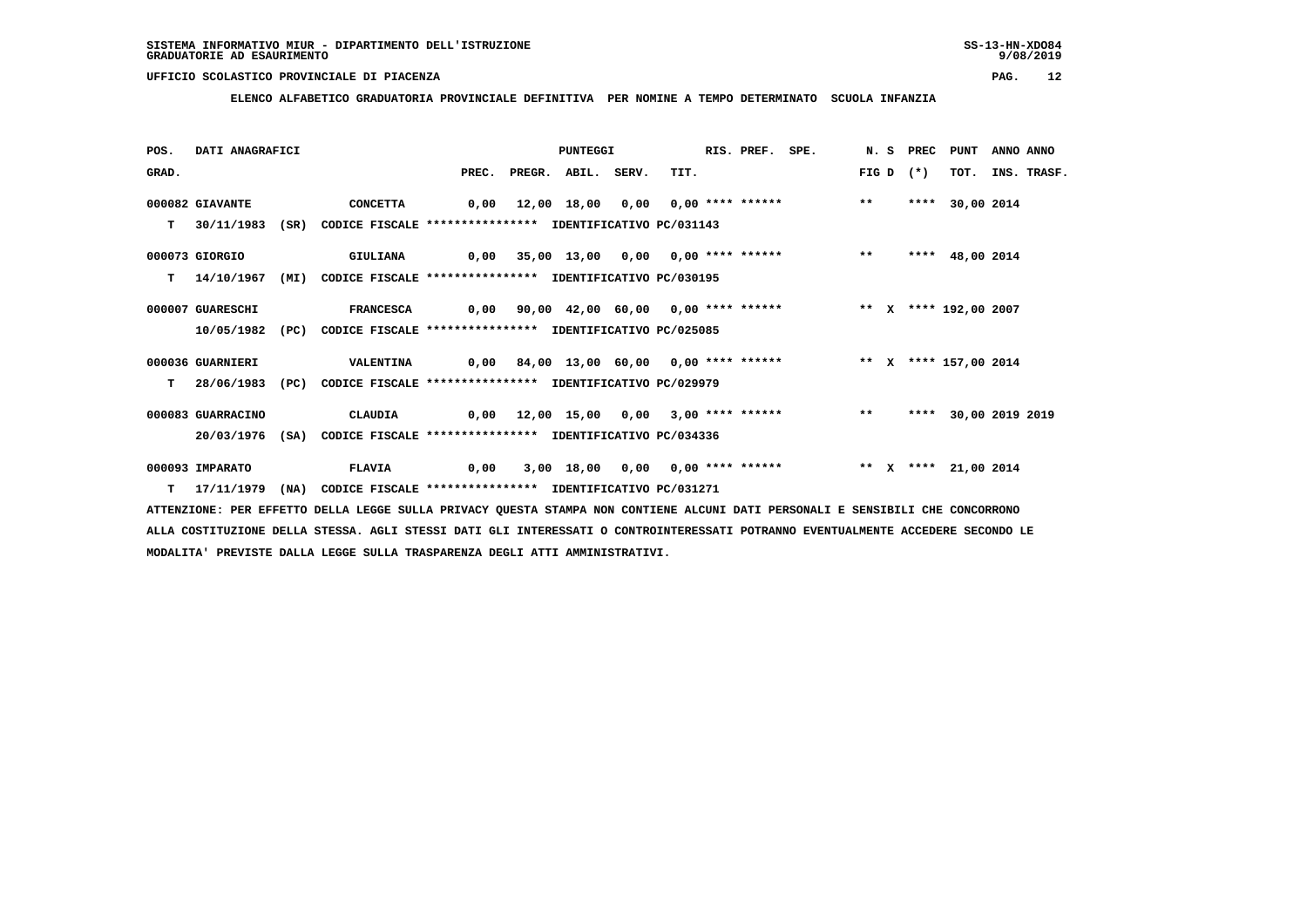**ELENCO ALFABETICO GRADUATORIA PROVINCIALE DEFINITIVA PER NOMINE A TEMPO DETERMINATO SCUOLA INFANZIA**

| POS.  | DATI ANAGRAFICI   |      |                                                                         |       | PUNTEGGI     |       |                                        | RIS. PREF. | SPE.                                                        |              | N. S PREC | <b>PUNT</b>     | ANNO ANNO |             |
|-------|-------------------|------|-------------------------------------------------------------------------|-------|--------------|-------|----------------------------------------|------------|-------------------------------------------------------------|--------------|-----------|-----------------|-----------|-------------|
| GRAD. |                   |      |                                                                         | PREC. | PREGR. ABIL. | SERV. | TIT.                                   |            |                                                             | FIG D        | $(*)$     | TOT.            |           | INS. TRASF. |
|       | 000082 GIAVANTE   |      | <b>CONCETTA</b>                                                         |       |              |       |                                        |            | 0,00 12,00 18,00 0,00 0,00 **** ******                      | $\star\star$ | ****      | 30,00 2014      |           |             |
| T.    | 30/11/1983        | (SR) | CODICE FISCALE **************** IDENTIFICATIVO PC/031143                |       |              |       |                                        |            |                                                             |              |           |                 |           |             |
|       | 000073 GIORGIO    |      | GIULIANA                                                                |       |              |       | 0,00 35,00 13,00 0,00 0,00 **** ****** |            |                                                             | $***$        |           | **** 48,00 2014 |           |             |
| т     | 14/10/1967        | (MI) | CODICE FISCALE **************** IDENTIFICATIVO PC/030195                |       |              |       |                                        |            |                                                             |              |           |                 |           |             |
|       | 000007 GUARESCHI  |      | <b>FRANCESCA</b>                                                        | 0,00  |              |       |                                        |            | 90,00 42,00 60,00 0,00 **** ****** * *** * **** 192,00 2007 |              |           |                 |           |             |
|       | 10/05/1982        | (PC) | CODICE FISCALE **************** IDENTIFICATIVO PC/025085                |       |              |       |                                        |            |                                                             |              |           |                 |           |             |
|       | 000036 GUARNIERI  |      | <b>VALENTINA</b>                                                        |       |              |       |                                        |            |                                                             |              |           |                 |           |             |
| т     | 28/06/1983        | (PC) | CODICE FISCALE **************** IDENTIFICATIVO PC/029979                |       |              |       |                                        |            |                                                             |              |           |                 |           |             |
|       | 000083 GUARRACINO |      | CLAUDIA                                                                 | 0,00  |              |       |                                        |            | 12,00 15,00 0,00 3,00 **** ******                           | $***$        | ****      | 30,00 2019 2019 |           |             |
|       |                   |      | 20/03/1976 (SA) CODICE FISCALE *************** IDENTIFICATIVO PC/034336 |       |              |       |                                        |            |                                                             |              |           |                 |           |             |
|       | 000093 IMPARATO   |      | <b>FLAVIA</b>                                                           | 0,00  |              |       |                                        |            | 3,00 18,00 0,00 0,00 **** ****** * *** * **** 21,00 2014    |              |           |                 |           |             |
| т     | 17/11/1979        | (NA) | CODICE FISCALE **************** IDENTIFICATIVO PC/031271                |       |              |       |                                        |            |                                                             |              |           |                 |           |             |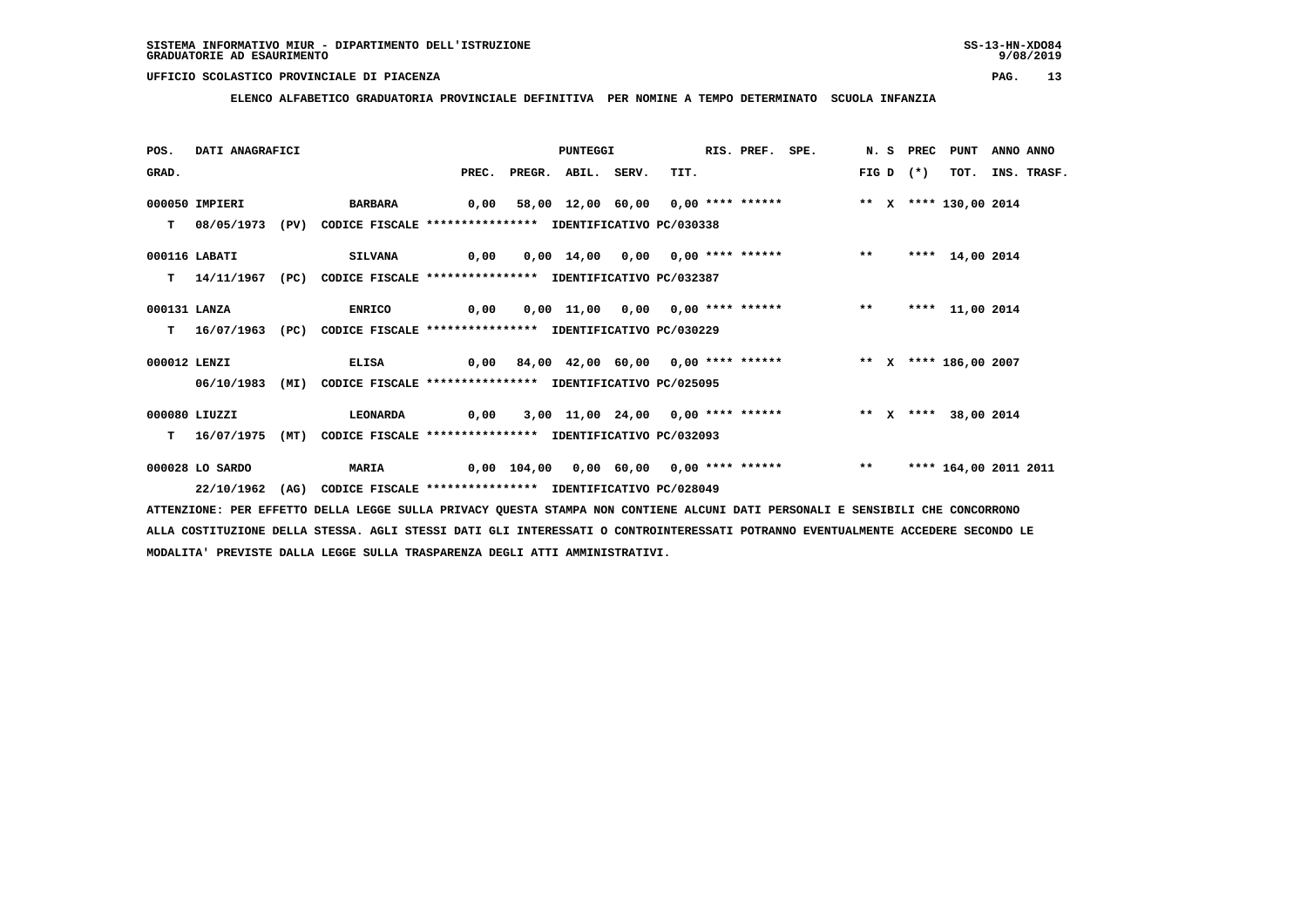**ELENCO ALFABETICO GRADUATORIA PROVINCIALE DEFINITIVA PER NOMINE A TEMPO DETERMINATO SCUOLA INFANZIA**

| POS.         | DATI ANAGRAFICI |      |                                                                           |                                                                    | PUNTEGGI                 |                                                                       | RIS. PREF. | SPE. |  | N.S PREC    | <b>PUNT</b>           | ANNO ANNO |             |
|--------------|-----------------|------|---------------------------------------------------------------------------|--------------------------------------------------------------------|--------------------------|-----------------------------------------------------------------------|------------|------|--|-------------|-----------------------|-----------|-------------|
| GRAD.        |                 |      |                                                                           |                                                                    | PREC. PREGR. ABIL. SERV. | TIT.                                                                  |            |      |  | FIG D $(*)$ | TOT.                  |           | INS. TRASF. |
|              | 000050 IMPIERI  |      | <b>BARBARA</b>                                                            | 0,00 58,00 12,00 60,00 0,00 **** ******     ** x **** 130,00 2014  |                          |                                                                       |            |      |  |             |                       |           |             |
|              |                 |      | T 08/05/1973 (PV) CODICE FISCALE *************** IDENTIFICATIVO PC/030338 |                                                                    |                          |                                                                       |            |      |  |             |                       |           |             |
|              | 000116 LABATI   |      | <b>SILVANA</b>                                                            | 0,00 0,00 14,00 0,00 0,00 **** ****** *** **                       |                          |                                                                       |            |      |  |             | **** 14,00 2014       |           |             |
|              | T 14/11/1967    | (PC) | CODICE FISCALE **************** IDENTIFICATIVO PC/032387                  |                                                                    |                          |                                                                       |            |      |  |             |                       |           |             |
| 000131 LANZA |                 |      | ENRICO                                                                    | 0,00 0,00 11,00 0,00 0,00 **** ******             **               |                          |                                                                       |            |      |  |             | **** 11,00 2014       |           |             |
|              |                 |      | T 16/07/1963 (PC) CODICE FISCALE *************** IDENTIFICATIVO PC/030229 |                                                                    |                          |                                                                       |            |      |  |             |                       |           |             |
| 000012 LENZI |                 |      | <b>ELISA</b>                                                              | 0,00 84,00 42,00 60,00 0,00 **** ******      ** x **** 186,00 2007 |                          |                                                                       |            |      |  |             |                       |           |             |
|              | 06/10/1983      | (MI) | CODICE FISCALE **************** IDENTIFICATIVO PC/025095                  |                                                                    |                          |                                                                       |            |      |  |             |                       |           |             |
|              | 000080 LIUZZI   |      | <b>LEONARDA</b>                                                           |                                                                    |                          | 0,00 3,00 11,00 24,00 0,00 **** ****** * *** * * * * * *** 38,00 2014 |            |      |  |             |                       |           |             |
|              |                 |      | T 16/07/1975 (MT) CODICE FISCALE *************** IDENTIFICATIVO PC/032093 |                                                                    |                          |                                                                       |            |      |  |             |                       |           |             |
|              | 000028 LO SARDO |      | <b>MARIA</b>                                                              | 0,00 104,00 0,00 60,00 0,00 **** ******           **               |                          |                                                                       |            |      |  |             | **** 164,00 2011 2011 |           |             |
|              | 22/10/1962      | (AG) | CODICE FISCALE **************** IDENTIFICATIVO PC/028049                  |                                                                    |                          |                                                                       |            |      |  |             |                       |           |             |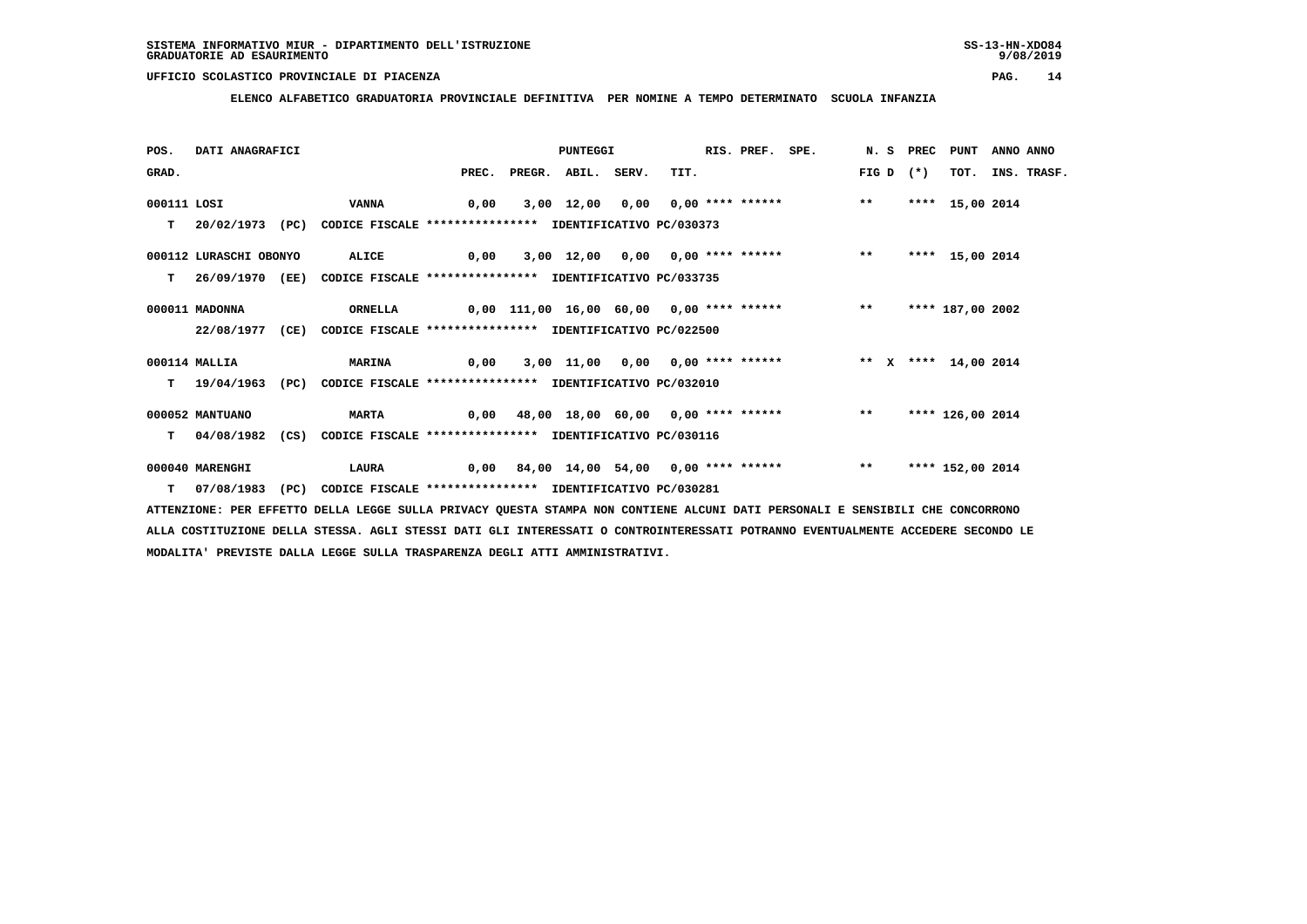**ELENCO ALFABETICO GRADUATORIA PROVINCIALE DEFINITIVA PER NOMINE A TEMPO DETERMINATO SCUOLA INFANZIA**

| POS.        | DATI ANAGRAFICI        |      |                                                                         |                                         | PUNTEGGI     |       |                                                               | RIS. PREF. SPE. |       | N.S PREC | PUNT             | ANNO ANNO |             |
|-------------|------------------------|------|-------------------------------------------------------------------------|-----------------------------------------|--------------|-------|---------------------------------------------------------------|-----------------|-------|----------|------------------|-----------|-------------|
| GRAD.       |                        |      |                                                                         | PREC.                                   | PREGR. ABIL. | SERV. | TIT.                                                          |                 | FIG D | $(* )$   | TOT.             |           | INS. TRASF. |
| 000111 LOSI |                        |      | VANNA                                                                   | 0,00                                    |              |       | 3,00 12,00 0,00 0,00 **** ******                              |                 | $***$ |          | **** 15,00 2014  |           |             |
| т           | 20/02/1973             | (PC) | CODICE FISCALE **************** IDENTIFICATIVO PC/030373                |                                         |              |       |                                                               |                 |       |          |                  |           |             |
|             | 000112 LURASCHI OBONYO |      | ALICE                                                                   | 0,00                                    |              |       | $3,00$ $12,00$ $0,00$ $0,00$ **** ****** *** **               |                 |       |          | **** 15,00 2014  |           |             |
| т           |                        |      | 26/09/1970 (EE) CODICE FISCALE *************** IDENTIFICATIVO PC/033735 |                                         |              |       |                                                               |                 |       |          |                  |           |             |
|             | 000011 MADONNA         |      | ORNELLA                                                                 |                                         |              |       | 0,00 111,00 16,00 60,00 0,00 **** ******                      |                 | $***$ |          | **** 187,00 2002 |           |             |
|             | 22/08/1977             | (CE) | CODICE FISCALE **************** IDENTIFICATIVO PC/022500                |                                         |              |       |                                                               |                 |       |          |                  |           |             |
|             | 000114 MALLIA          |      | <b>MARINA</b>                                                           | 0,00                                    |              |       | 3,00 11,00 0,00 0,00 **** ****** * *** * ** x **** 14,00 2014 |                 |       |          |                  |           |             |
| т           | 19/04/1963 (PC)        |      | CODICE FISCALE **************** IDENTIFICATIVO PC/032010                |                                         |              |       |                                                               |                 |       |          |                  |           |             |
|             | 000052 MANTUANO        |      | <b>MARTA</b>                                                            | 0,00 48,00 18,00 60,00 0,00 **** ****** |              |       |                                                               |                 | $***$ |          | **** 126,00 2014 |           |             |
| T.          | 04/08/1982             | (CS) | CODICE FISCALE **************** IDENTIFICATIVO PC/030116                |                                         |              |       |                                                               |                 |       |          |                  |           |             |
|             | 000040 MARENGHI        |      | <b>LAURA</b>                                                            | 0,00                                    |              |       | 84,00 14,00 54,00 0,00 **** ******                            |                 | $* *$ |          | **** 152,00 2014 |           |             |
|             | T 07/08/1983           | (PC) | CODICE FISCALE **************** IDENTIFICATIVO PC/030281                |                                         |              |       |                                                               |                 |       |          |                  |           |             |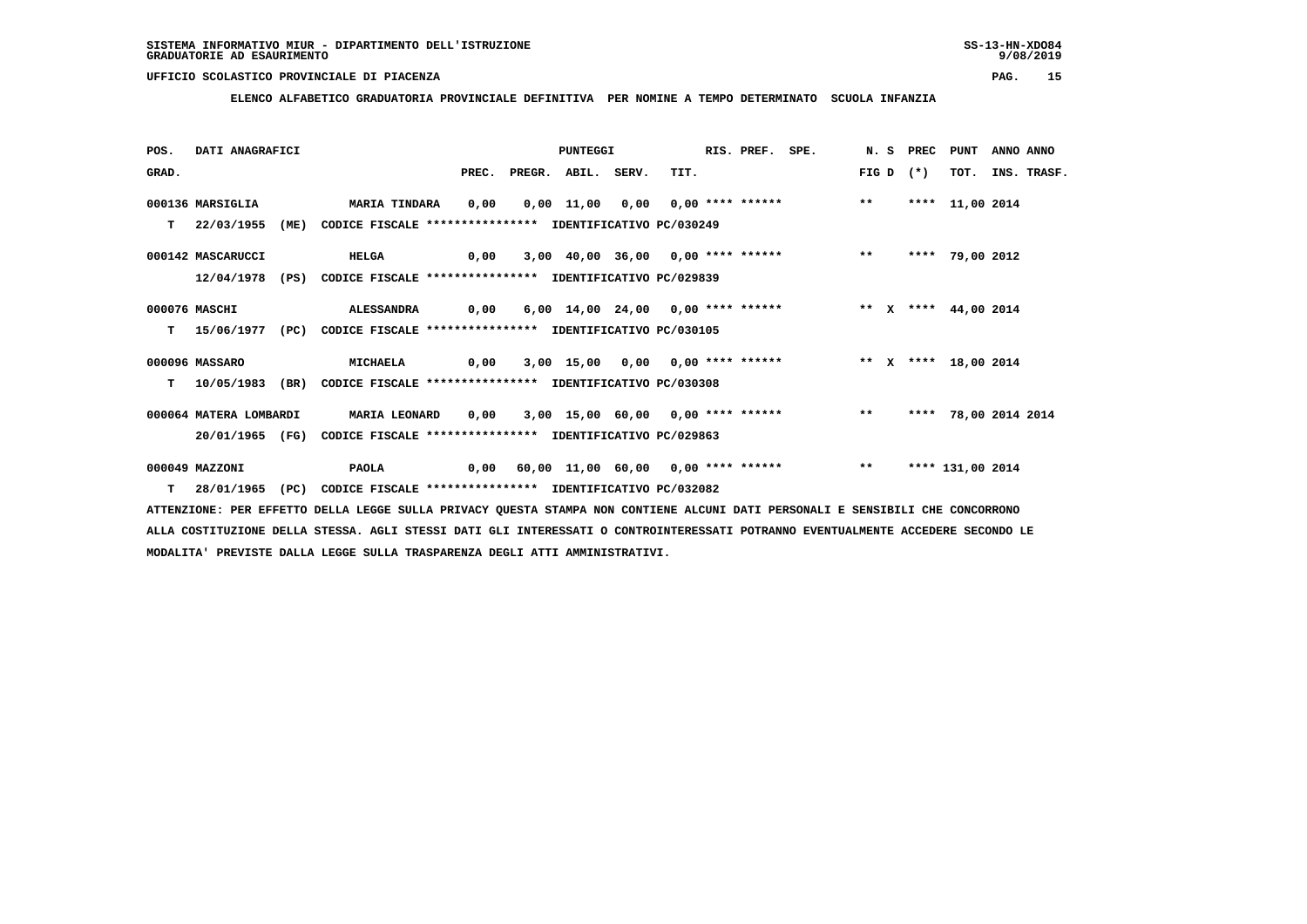**ELENCO ALFABETICO GRADUATORIA PROVINCIALE DEFINITIVA PER NOMINE A TEMPO DETERMINATO SCUOLA INFANZIA**

| POS.  | DATI ANAGRAFICI        |      |                                                          |       |              | PUNTEGGI |       |                                                                   | RIS. PREF. | SPE. |       | N.S PREC | PUNT                 | ANNO ANNO |             |
|-------|------------------------|------|----------------------------------------------------------|-------|--------------|----------|-------|-------------------------------------------------------------------|------------|------|-------|----------|----------------------|-----------|-------------|
| GRAD. |                        |      |                                                          | PREC. | PREGR. ABIL. |          | SERV. | TIT.                                                              |            |      | FIG D | $(*)$    | TOT.                 |           | INS. TRASF. |
|       | 000136 MARSIGLIA       |      | <b>MARIA TINDARA</b>                                     | 0,00  |              |          |       | 0,00 11,00 0,00 0,00 **** ******                                  |            |      | $***$ |          | **** 11,00 2014      |           |             |
| T.    | 22/03/1955             | (ME) | CODICE FISCALE **************** IDENTIFICATIVO PC/030249 |       |              |          |       |                                                                   |            |      |       |          |                      |           |             |
|       | 000142 MASCARUCCI      |      | <b>HELGA</b>                                             | 0,00  |              |          |       | 3,00 40,00 36,00 0,00 **** ****** ** **                           |            |      |       |          | **** 79,00 2012      |           |             |
|       | 12/04/1978             | (PS) | CODICE FISCALE **************** IDENTIFICATIVO PC/029839 |       |              |          |       |                                                                   |            |      |       |          |                      |           |             |
|       | 000076 MASCHI          |      | ALESSANDRA                                               | 0,00  |              |          |       | 6,00 14,00 24,00 0,00 **** ****** *** ** ** x **** 44,00 2014     |            |      |       |          |                      |           |             |
| т     | 15/06/1977 (PC)        |      | CODICE FISCALE **************** IDENTIFICATIVO PC/030105 |       |              |          |       |                                                                   |            |      |       |          |                      |           |             |
|       | 000096 MASSARO         |      | MICHAELA                                                 | 0,00  |              |          |       | 3,00 15,00 0,00 0,00 **** ******             ** x **** 18,00 2014 |            |      |       |          |                      |           |             |
| T.    | 10/05/1983             | (BR) | CODICE FISCALE **************** IDENTIFICATIVO PC/030308 |       |              |          |       |                                                                   |            |      |       |          |                      |           |             |
|       | 000064 MATERA LOMBARDI |      | MARIA LEONARD                                            | 0,00  |              |          |       | 3,00 15,00 60,00 0,00 **** ****** *** **                          |            |      |       |          | **** 78,00 2014 2014 |           |             |
|       | 20/01/1965 (FG)        |      | CODICE FISCALE **************** IDENTIFICATIVO PC/029863 |       |              |          |       |                                                                   |            |      |       |          |                      |           |             |
|       | 000049 MAZZONI         |      | PAOLA                                                    |       |              |          |       | 0,00 60,00 11,00 60,00 0,00 **** ******                           |            |      | $***$ |          | **** 131,00 2014     |           |             |
| т     | 28/01/1965             | (PC) | CODICE FISCALE **************** IDENTIFICATIVO PC/032082 |       |              |          |       |                                                                   |            |      |       |          |                      |           |             |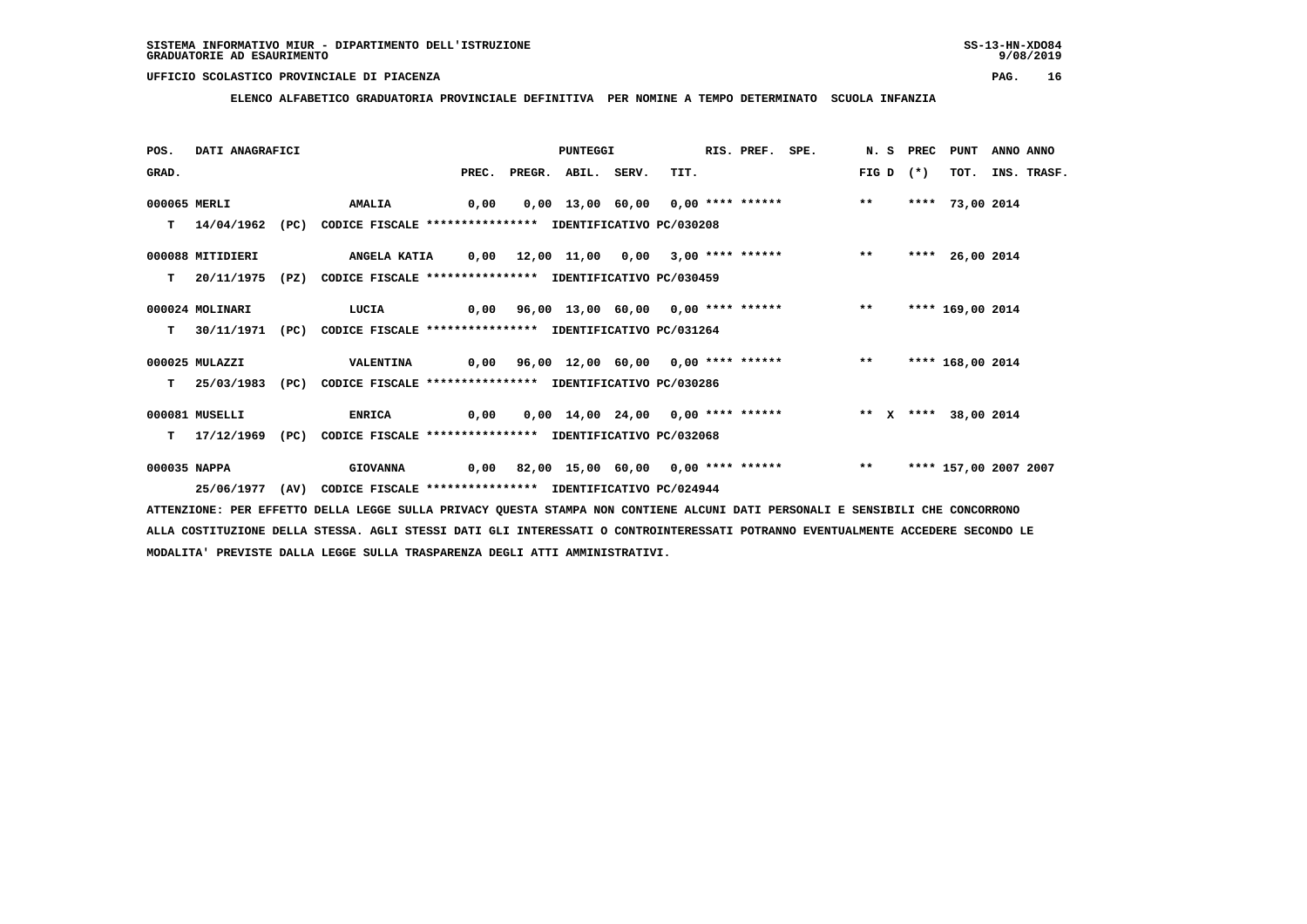**ELENCO ALFABETICO GRADUATORIA PROVINCIALE DEFINITIVA PER NOMINE A TEMPO DETERMINATO SCUOLA INFANZIA**

| POS.         | DATI ANAGRAFICI  |      |                                                                          |       | <b>PUNTEGGI</b> |       |                                                            | RIS. PREF. SPE. |       | N.S PREC | PUNT                  | ANNO ANNO |             |
|--------------|------------------|------|--------------------------------------------------------------------------|-------|-----------------|-------|------------------------------------------------------------|-----------------|-------|----------|-----------------------|-----------|-------------|
| GRAD.        |                  |      |                                                                          | PREC. | PREGR. ABIL.    | SERV. | TIT.                                                       |                 | FIG D | $(*)$    | тот.                  |           | INS. TRASF. |
| 000065 MERLI |                  |      | <b>AMALIA</b>                                                            | 0,00  |                 |       | 0,00 13,00 60,00 0,00 **** ******                          |                 | $* *$ |          | **** 73,00 2014       |           |             |
| т            |                  |      | 14/04/1962 (PC) CODICE FISCALE *************** IDENTIFICATIVO PC/030208  |       |                 |       |                                                            |                 |       |          |                       |           |             |
|              | 000088 MITIDIERI |      | <b>ANGELA KATIA</b>                                                      |       |                 |       | 0,00 12,00 11,00 0,00 3,00 **** ****** *** **              |                 |       | ****     | 26,00 2014            |           |             |
| т            | 20/11/1975       | (PZ) | CODICE FISCALE **************** IDENTIFICATIVO PC/030459                 |       |                 |       |                                                            |                 |       |          |                       |           |             |
|              | 000024 MOLINARI  |      | <b>LUCIA</b>                                                             |       |                 |       | 0,00 96,00 13,00 60,00 0,00 **** ******           **       |                 |       |          | **** 169,00 2014      |           |             |
| т            |                  |      | 30/11/1971 (PC) CODICE FISCALE **************** IDENTIFICATIVO PC/031264 |       |                 |       |                                                            |                 |       |          |                       |           |             |
|              | 000025 MULAZZI   |      | <b>VALENTINA</b>                                                         |       |                 |       | 0,00 96,00 12,00 60,00 0,00 **** ******           **       |                 |       |          | **** 168,00 2014      |           |             |
| т            | 25/03/1983       | (PC) | CODICE FISCALE **************** IDENTIFICATIVO PC/030286                 |       |                 |       |                                                            |                 |       |          |                       |           |             |
|              | 000081 MUSELLI   |      | <b>ENRICA</b>                                                            | 0,00  |                 |       | 0,00 14,00 24,00 0,00 **** ****** * * * * * *** 38,00 2014 |                 |       |          |                       |           |             |
| т            |                  |      | 17/12/1969 (PC) CODICE FISCALE **************** IDENTIFICATIVO PC/032068 |       |                 |       |                                                            |                 |       |          |                       |           |             |
| 000035 NAPPA |                  |      | <b>GIOVANNA</b>                                                          |       |                 |       | 0,00 82,00 15,00 60,00 0,00 **** ******           **       |                 |       |          | **** 157,00 2007 2007 |           |             |
|              | 25/06/1977 (AV)  |      | CODICE FISCALE **************** IDENTIFICATIVO PC/024944                 |       |                 |       |                                                            |                 |       |          |                       |           |             |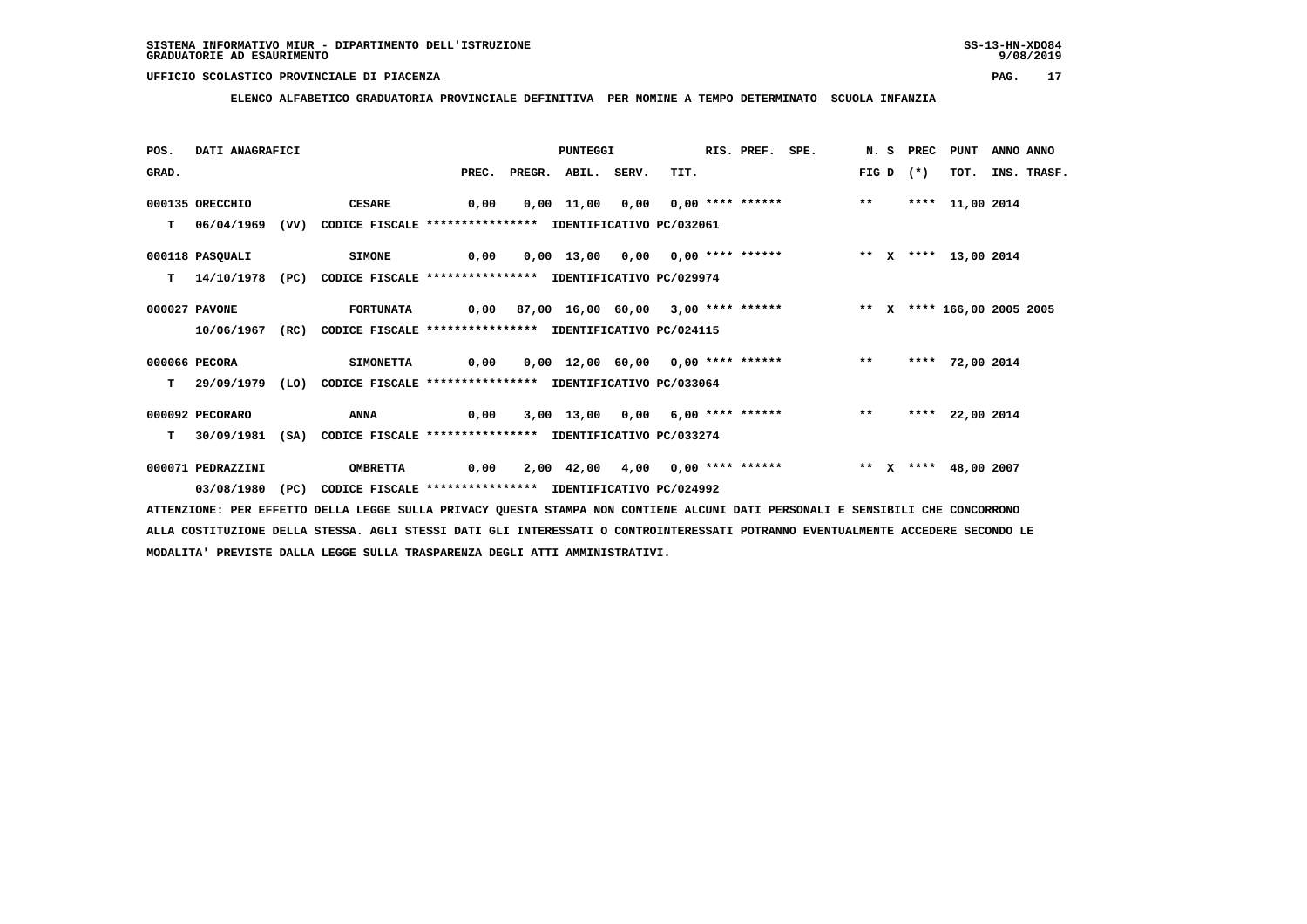**ELENCO ALFABETICO GRADUATORIA PROVINCIALE DEFINITIVA PER NOMINE A TEMPO DETERMINATO SCUOLA INFANZIA**

| POS.  | DATI ANAGRAFICI   |      |                                                                           |             | PUNTEGGI                 |      | RIS. PREF. SPE. |                                                                         |       |             | N. S PREC PUNT  | ANNO ANNO |                  |
|-------|-------------------|------|---------------------------------------------------------------------------|-------------|--------------------------|------|-----------------|-------------------------------------------------------------------------|-------|-------------|-----------------|-----------|------------------|
| GRAD. |                   |      |                                                                           |             | PREC. PREGR. ABIL. SERV. | TIT. |                 |                                                                         |       | FIG D $(*)$ |                 |           | TOT. INS. TRASF. |
|       | 000135 ORECCHIO   |      | <b>CESARE</b>                                                             | 0,00        |                          |      |                 | $0,00$ 11,00 0,00 0,00 **** ****** ** **                                |       |             | **** 11,00 2014 |           |                  |
|       |                   |      | T 06/04/1969 (VV) CODICE FISCALE *************** IDENTIFICATIVO PC/032061 |             |                          |      |                 |                                                                         |       |             |                 |           |                  |
|       | 000118 PASQUALI   |      | <b>SIMONE</b>                                                             | 0,00        |                          |      |                 | 0,00 13,00 0,00 0,00 **** ****** * *** * **** 13,00 2014                |       |             |                 |           |                  |
| T.    | 14/10/1978        | (PC) | CODICE FISCALE **************** IDENTIFICATIVO PC/029974                  |             |                          |      |                 |                                                                         |       |             |                 |           |                  |
|       | 000027 PAVONE     |      | <b>FORTUNATA</b>                                                          |             |                          |      |                 | 0,00 87,00 16,00 60,00 3,00 **** ****** *** ** ** **** 166,00 2005 2005 |       |             |                 |           |                  |
|       | 10/06/1967        |      | (RC) CODICE FISCALE **************** IDENTIFICATIVO PC/024115             |             |                          |      |                 |                                                                         |       |             |                 |           |                  |
|       | 000066 PECORA     |      | <b>SIMONETTA</b>                                                          |             |                          |      |                 | 0,00 0,00 12,00 60,00 0,00 **** ****** *** **                           |       |             | **** 72,00 2014 |           |                  |
| т     | 29/09/1979 (LO)   |      | CODICE FISCALE **************** IDENTIFICATIVO PC/033064                  |             |                          |      |                 |                                                                         |       |             |                 |           |                  |
|       | 000092 PECORARO   |      | <b>ANNA</b>                                                               | $\sim$ 0,00 |                          |      |                 | 3,00 13,00 0,00 6,00 **** ******                                        | $***$ |             | **** 22,00 2014 |           |                  |
| T.    | 30/09/1981        |      | (SA) CODICE FISCALE **************** IDENTIFICATIVO PC/033274             |             |                          |      |                 |                                                                         |       |             |                 |           |                  |
|       | 000071 PEDRAZZINI |      | <b>OMBRETTA</b>                                                           | 0,00        |                          |      |                 | 2,00 42,00 4,00 0,00 **** ****** ***** ** ** **** 48,00 2007            |       |             |                 |           |                  |
|       | 03/08/1980 (PC)   |      | CODICE FISCALE **************** IDENTIFICATIVO PC/024992                  |             |                          |      |                 |                                                                         |       |             |                 |           |                  |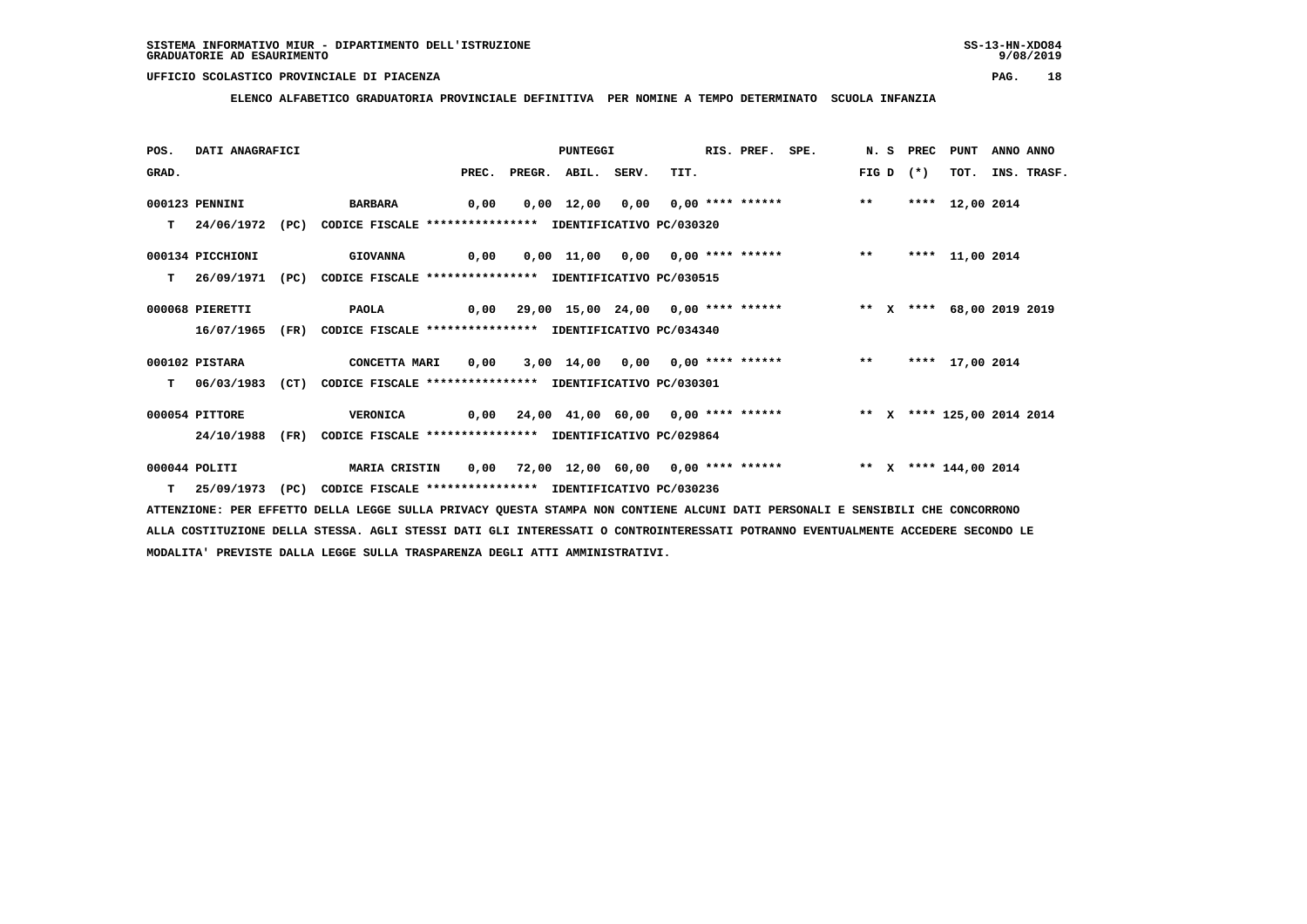**ELENCO ALFABETICO GRADUATORIA PROVINCIALE DEFINITIVA PER NOMINE A TEMPO DETERMINATO SCUOLA INFANZIA**

| POS.  | DATI ANAGRAFICI  |      |                                                                             |      |                          | PUNTEGGI |                                                                         | RIS. PREF. SPE. |  | N. S PREC PUNT |                 | ANNO ANNO |                  |
|-------|------------------|------|-----------------------------------------------------------------------------|------|--------------------------|----------|-------------------------------------------------------------------------|-----------------|--|----------------|-----------------|-----------|------------------|
| GRAD. |                  |      |                                                                             |      | PREC. PREGR. ABIL. SERV. |          | TIT.                                                                    |                 |  | FIG D $(*)$    |                 |           | TOT. INS. TRASF. |
|       | 000123 PENNINI   |      | <b>BARBARA</b>                                                              | 0,00 |                          |          | 0,00 12,00 0,00 0,00 **** ****** ** **                                  |                 |  |                | **** 12,00 2014 |           |                  |
|       |                  |      | T 24/06/1972 (PC) CODICE FISCALE *************** IDENTIFICATIVO PC/030320   |      |                          |          |                                                                         |                 |  |                |                 |           |                  |
|       | 000134 PICCHIONI |      | <b>GIOVANNA</b>                                                             | 0,00 |                          |          | 0,00 11,00 0,00 0,00 **** ****** *** **                                 |                 |  |                | **** 11,00 2014 |           |                  |
| T.    | 26/09/1971       | (PC) | CODICE FISCALE **************** IDENTIFICATIVO PC/030515                    |      |                          |          |                                                                         |                 |  |                |                 |           |                  |
|       | 000068 PIERETTI  |      | PAOLA 0,00 29,00 15,00 24,00 0,00 **** ****** *** ** X **** 68,00 2019 2019 |      |                          |          |                                                                         |                 |  |                |                 |           |                  |
|       | 16/07/1965       | (FR) | CODICE FISCALE **************** IDENTIFICATIVO PC/034340                    |      |                          |          |                                                                         |                 |  |                |                 |           |                  |
|       | 000102 PISTARA   |      | <b>CONCETTA MARI</b>                                                        | 0,00 |                          |          | 3,00 14,00 0,00 0,00 **** ****** *** **                                 |                 |  |                | **** 17,00 2014 |           |                  |
|       |                  |      | T 06/03/1983 (CT) CODICE FISCALE **************** IDENTIFICATIVO PC/030301  |      |                          |          |                                                                         |                 |  |                |                 |           |                  |
|       | 000054 PITTORE   |      | <b>VERONICA</b>                                                             |      |                          |          | 0,00 24,00 41,00 60,00 0,00 **** ******      ** x **** 125,00 2014 2014 |                 |  |                |                 |           |                  |
|       | 24/10/1988       | (FR) | CODICE FISCALE **************** IDENTIFICATIVO PC/029864                    |      |                          |          |                                                                         |                 |  |                |                 |           |                  |
|       | 000044 POLITI    |      | <b>MARIA CRISTIN</b>                                                        |      |                          |          | 0,00 72,00 12,00 60,00 0,00 **** ****** **** ** **** 144,00 2014        |                 |  |                |                 |           |                  |
| T.    | 25/09/1973 (PC)  |      | CODICE FISCALE **************** IDENTIFICATIVO PC/030236                    |      |                          |          |                                                                         |                 |  |                |                 |           |                  |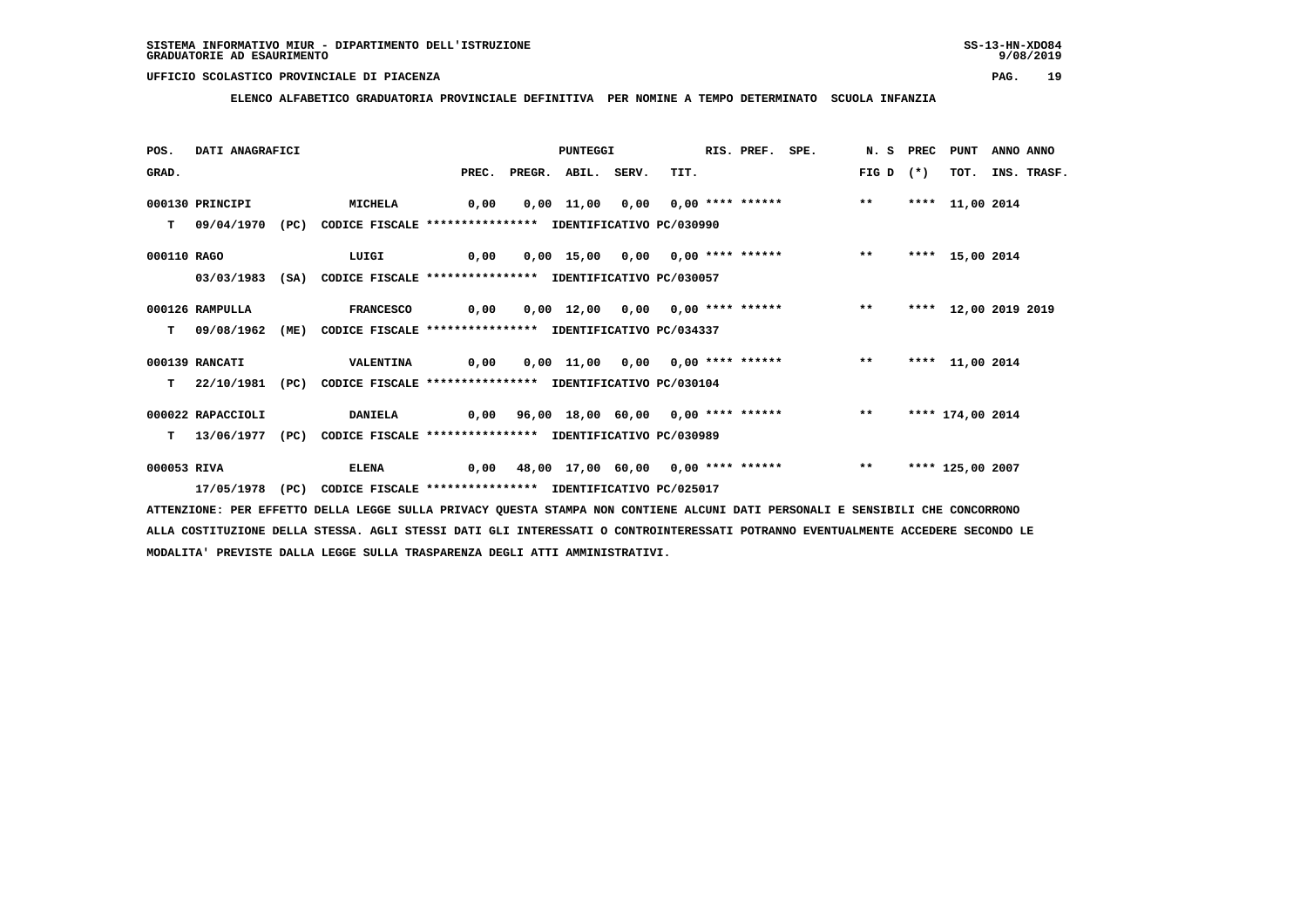**ELENCO ALFABETICO GRADUATORIA PROVINCIALE DEFINITIVA PER NOMINE A TEMPO DETERMINATO SCUOLA INFANZIA**

| POS.        | DATI ANAGRAFICI   |      |                                                                          |                                                      | PUNTEGGI                 |                                                | RIS. PREF. SPE. |       |       | N. S PREC PUNT       | ANNO ANNO |                  |
|-------------|-------------------|------|--------------------------------------------------------------------------|------------------------------------------------------|--------------------------|------------------------------------------------|-----------------|-------|-------|----------------------|-----------|------------------|
| GRAD.       |                   |      |                                                                          |                                                      | PREC. PREGR. ABIL. SERV. | TIT.                                           |                 | FIG D | $(*)$ |                      |           | TOT. INS. TRASF. |
|             | 000130 PRINCIPI   |      | <b>MICHELA</b>                                                           | 0,00                                                 |                          | $0,00$ 11,00 0,00 0,00 **** ****** ** **       |                 |       |       | **** 11,00 2014      |           |                  |
| T.          | 09/04/1970 (PC)   |      | CODICE FISCALE **************** IDENTIFICATIVO PC/030990                 |                                                      |                          |                                                |                 |       |       |                      |           |                  |
| 000110 RAGO |                   |      | LUIGI                                                                    | $\sim$ 0,00                                          |                          | 0,00 15,00 0,00 0,00 **** ****** *** **        |                 |       |       | **** 15,00 2014      |           |                  |
|             |                   |      | 03/03/1983 (SA) CODICE FISCALE **************** IDENTIFICATIVO PC/030057 |                                                      |                          |                                                |                 |       |       |                      |           |                  |
|             | 000126 RAMPULLA   |      | <b>FRANCESCO</b>                                                         | 0,00                                                 |                          | 0,00 12,00 0,00 0,00 **** ****** *** **        |                 |       |       | **** 12,00 2019 2019 |           |                  |
| T.          | 09/08/1962        | (ME) | CODICE FISCALE **************** IDENTIFICATIVO PC/034337                 |                                                      |                          |                                                |                 |       |       |                      |           |                  |
|             | 000139 RANCATI    |      | <b>VALENTINA</b>                                                         |                                                      |                          |                                                |                 |       |       | **** 11,00 2014      |           |                  |
| т           | 22/10/1981 (PC)   |      | CODICE FISCALE **************** IDENTIFICATIVO PC/030104                 |                                                      |                          |                                                |                 |       |       |                      |           |                  |
|             | 000022 RAPACCIOLI |      | <b>DANIELA</b>                                                           | 0,00 96,00 18,00 60,00 0,00 **** ******           ** |                          |                                                |                 |       |       | **** 174,00 2014     |           |                  |
| т           |                   |      | 13/06/1977 (PC) CODICE FISCALE **************** IDENTIFICATIVO PC/030989 |                                                      |                          |                                                |                 |       |       |                      |           |                  |
| 000053 RIVA |                   |      | <b>ELENA</b>                                                             |                                                      |                          | 0,00 48,00 17,00 60,00 0,00 **** ****** *** ** |                 |       |       | **** 125,00 2007     |           |                  |
|             |                   |      | 17/05/1978 (PC) CODICE FISCALE *************** IDENTIFICATIVO PC/025017  |                                                      |                          |                                                |                 |       |       |                      |           |                  |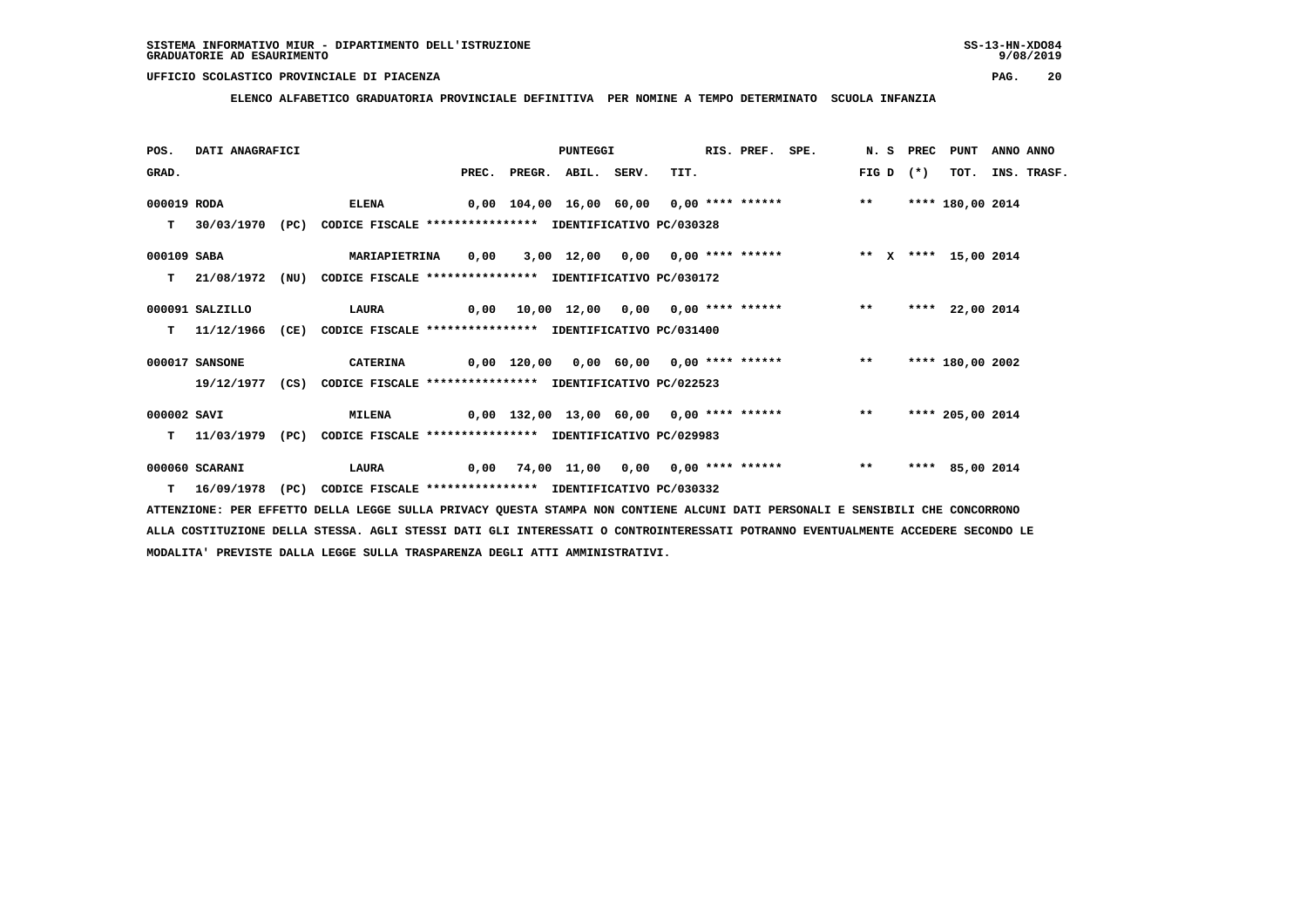**ELENCO ALFABETICO GRADUATORIA PROVINCIALE DEFINITIVA PER NOMINE A TEMPO DETERMINATO SCUOLA INFANZIA**

| POS.        | DATI ANAGRAFICI  |      |                                                                          |       |              | PUNTEGGI |       |                                                                 | RIS. PREF. SPE. |       | N.S PREC | PUNT             | ANNO ANNO |                  |
|-------------|------------------|------|--------------------------------------------------------------------------|-------|--------------|----------|-------|-----------------------------------------------------------------|-----------------|-------|----------|------------------|-----------|------------------|
| GRAD.       |                  |      |                                                                          | PREC. | PREGR. ABIL. |          | SERV. | TIT.                                                            |                 | FIG D | $(*)$    |                  |           | TOT. INS. TRASF. |
| 000019 RODA |                  |      | <b>ELENA</b>                                                             |       |              |          |       | 0,00 104,00 16,00 60,00 0,00 **** ******                        |                 | $***$ |          | **** 180,00 2014 |           |                  |
| т           | 30/03/1970       | (PC) | CODICE FISCALE **************** IDENTIFICATIVO PC/030328                 |       |              |          |       |                                                                 |                 |       |          |                  |           |                  |
| 000109 SABA |                  |      | <b>MARIAPIETRINA</b>                                                     |       |              |          |       | 0,00 3,00 12,00 0,00 0,00 **** ****** *** ** ** **** 15,00 2014 |                 |       |          |                  |           |                  |
| T.          | 21/08/1972 (NU)  |      | CODICE FISCALE **************** IDENTIFICATIVO PC/030172                 |       |              |          |       |                                                                 |                 |       |          |                  |           |                  |
|             | 000091 SALZILLO  |      | <b>LAURA</b>                                                             |       |              |          |       | 0,00 10,00 12,00 0,00 0,00 **** ******                          |                 | $***$ |          | **** 22,00 2014  |           |                  |
| т           | 11/12/1966       | (CE) | CODICE FISCALE **************** IDENTIFICATIVO PC/031400                 |       |              |          |       |                                                                 |                 |       |          |                  |           |                  |
|             | 000017 SANSONE   |      | <b>CATERINA</b>                                                          |       |              |          |       | 0,00 120,00 0,00 60,00 0,00 **** ****** *** **                  |                 |       |          | **** 180,00 2002 |           |                  |
|             |                  |      | 19/12/1977 (CS) CODICE FISCALE **************** IDENTIFICATIVO PC/022523 |       |              |          |       |                                                                 |                 |       |          |                  |           |                  |
| 000002 SAVI |                  |      | <b>MILENA</b>                                                            |       |              |          |       | 0,00 132,00 13,00 60,00 0,00 **** ******           **           |                 |       |          | **** 205,00 2014 |           |                  |
| т           | 11/03/1979       | (PC) | CODICE FISCALE **************** IDENTIFICATIVO PC/029983                 |       |              |          |       |                                                                 |                 |       |          |                  |           |                  |
|             | 000060 SCARANI   |      | <b>LAURA</b>                                                             | 0,00  |              |          |       | 74,00 11,00 0,00 0,00 **** ******                               |                 | $* *$ |          | **** 85,00 2014  |           |                  |
|             | $T = 16/09/1978$ | (PC) | CODICE FISCALE **************** IDENTIFICATIVO PC/030332                 |       |              |          |       |                                                                 |                 |       |          |                  |           |                  |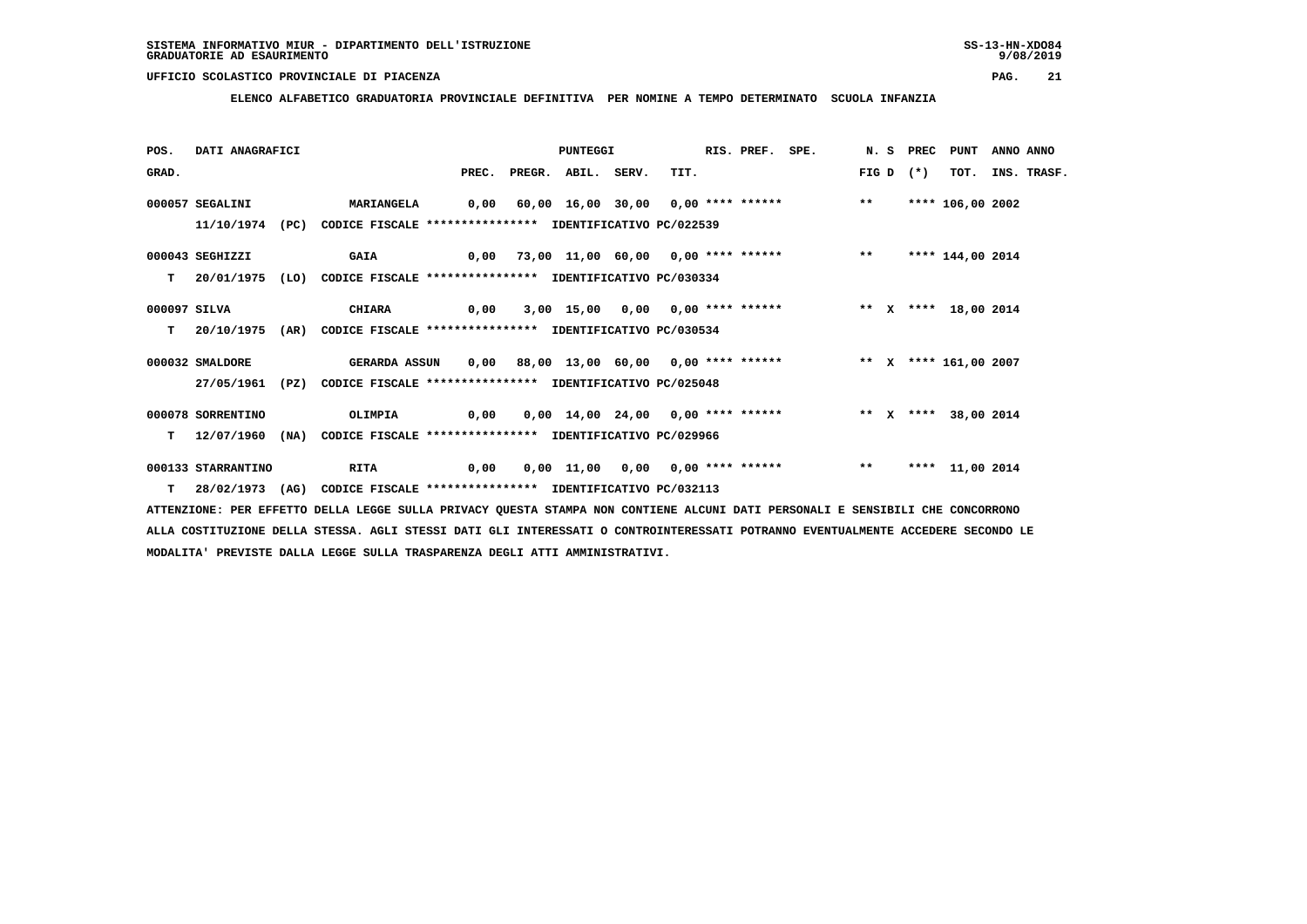**ELENCO ALFABETICO GRADUATORIA PROVINCIALE DEFINITIVA PER NOMINE A TEMPO DETERMINATO SCUOLA INFANZIA**

| POS.         | DATI ANAGRAFICI    |      |                                                               |       | PUNTEGGI     |       |                                                                                   | RIS. PREF. SPE. |       | N. S PREC | PUNT             | ANNO ANNO |             |
|--------------|--------------------|------|---------------------------------------------------------------|-------|--------------|-------|-----------------------------------------------------------------------------------|-----------------|-------|-----------|------------------|-----------|-------------|
| GRAD.        |                    |      |                                                               | PREC. | PREGR. ABIL. | SERV. | TIT.                                                                              |                 | FIG D | $(*)$     | TOT.             |           | INS. TRASF. |
|              | 000057 SEGALINI    |      | <b>MARIANGELA</b>                                             |       |              |       | 0,00 60,00 16,00 30,00 0,00 **** ******                                           |                 | $***$ |           | **** 106,00 2002 |           |             |
|              | 11/10/1974         | (PC) | CODICE FISCALE **************** IDENTIFICATIVO PC/022539      |       |              |       |                                                                                   |                 |       |           |                  |           |             |
|              | 000043 SEGHIZZI    |      | <b>GAIA</b>                                                   |       |              |       | 0,00 73,00 11,00 60,00 0,00 **** ******           **                              |                 |       |           | **** 144,00 2014 |           |             |
| T.           | 20/01/1975         |      | (LO) CODICE FISCALE *************** IDENTIFICATIVO PC/030334  |       |              |       |                                                                                   |                 |       |           |                  |           |             |
| 000097 SILVA |                    |      | CHIARA                                                        | 0,00  |              |       | 3,00 15,00 0,00 0,00 **** ******             ** x **** 18,00 2014                 |                 |       |           |                  |           |             |
| T.           | 20/10/1975         |      | (AR) CODICE FISCALE **************** IDENTIFICATIVO PC/030534 |       |              |       |                                                                                   |                 |       |           |                  |           |             |
|              | 000032 SMALDORE    |      | GERARDA ASSUN                                                 |       |              |       |                                                                                   |                 |       |           |                  |           |             |
|              | 27/05/1961         |      | (PZ) CODICE FISCALE **************** IDENTIFICATIVO PC/025048 |       |              |       |                                                                                   |                 |       |           |                  |           |             |
|              | 000078 SORRENTINO  |      | OLIMPIA                                                       |       |              |       | 0,00  0,00  14,00  24,00  0,00  ****  ******    **    **    ****    38,00    2014 |                 |       |           |                  |           |             |
| т            | 12/07/1960         | (NA) | CODICE FISCALE **************** IDENTIFICATIVO PC/029966      |       |              |       |                                                                                   |                 |       |           |                  |           |             |
|              | 000133 STARRANTINO |      | RITA                                                          | 0,00  |              |       | 0,00 11,00 0,00 0,00 **** ******                                                  |                 | $***$ |           | **** 11,00 2014  |           |             |
|              | 28/02/1973 (AG)    |      | CODICE FISCALE **************** IDENTIFICATIVO PC/032113      |       |              |       |                                                                                   |                 |       |           |                  |           |             |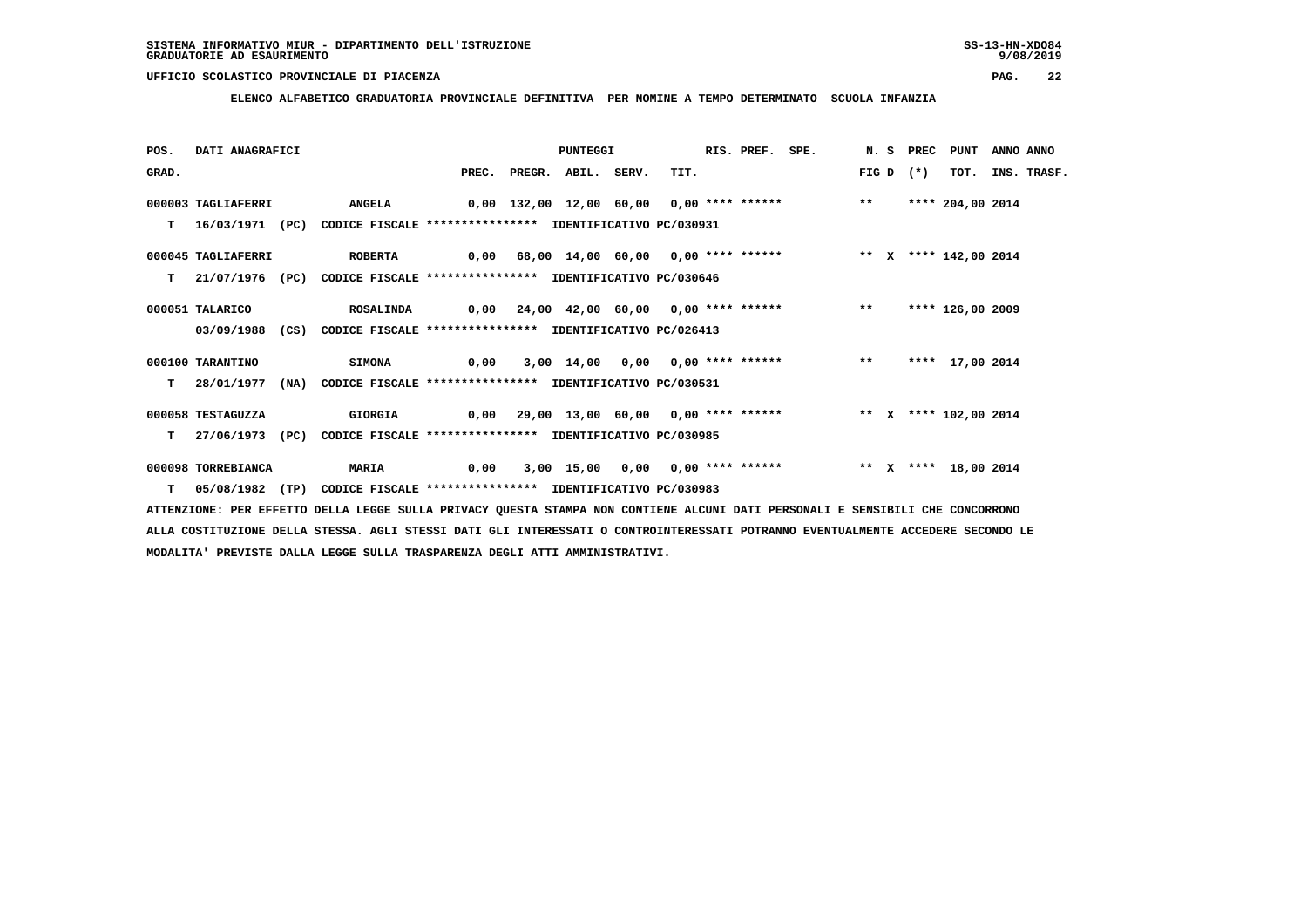**ELENCO ALFABETICO GRADUATORIA PROVINCIALE DEFINITIVA PER NOMINE A TEMPO DETERMINATO SCUOLA INFANZIA**

| POS.  | DATI ANAGRAFICI       |      |                                                                          |       | PUNTEGGI     |       |                                                                           | RIS. PREF. SPE. |       | N.S PREC | PUNT                 | ANNO ANNO |                  |
|-------|-----------------------|------|--------------------------------------------------------------------------|-------|--------------|-------|---------------------------------------------------------------------------|-----------------|-------|----------|----------------------|-----------|------------------|
| GRAD. |                       |      |                                                                          | PREC. | PREGR. ABIL. | SERV. | TIT.                                                                      |                 | FIG D | $(*)$    |                      |           | TOT. INS. TRASF. |
|       | 000003 TAGLIAFERRI    |      | <b>ANGELA</b>                                                            |       |              |       | 0,00 132,00 12,00 60,00 0,00 **** ******                                  |                 | $**$  |          | **** 204,00 2014     |           |                  |
| т     | 16/03/1971 (PC)       |      | CODICE FISCALE **************** IDENTIFICATIVO PC/030931                 |       |              |       |                                                                           |                 |       |          |                      |           |                  |
|       | 000045 TAGLIAFERRI    |      | <b>ROBERTA</b>                                                           |       |              |       | 0,00 68,00 14,00 60,00 0,00 **** ******             ** x **** 142,00 2014 |                 |       |          |                      |           |                  |
| T.    |                       |      | 21/07/1976 (PC) CODICE FISCALE **************** IDENTIFICATIVO PC/030646 |       |              |       |                                                                           |                 |       |          |                      |           |                  |
|       | 000051 TALARICO       |      |                                                                          |       |              |       |                                                                           |                 | $***$ |          | **** 126,00 2009     |           |                  |
|       | 03/09/1988            | (CS) | CODICE FISCALE **************** IDENTIFICATIVO PC/026413                 |       |              |       |                                                                           |                 |       |          |                      |           |                  |
|       | 000100 TARANTINO      |      | <b>SIMONA</b>                                                            | 0,00  |              |       | 3,00 14,00 0,00 0,00 **** ****** *** **                                   |                 |       |          | **** 17,00 2014      |           |                  |
| т     | 28/01/1977            |      | (NA) CODICE FISCALE **************** IDENTIFICATIVO PC/030531            |       |              |       |                                                                           |                 |       |          |                      |           |                  |
|       | 000058 TESTAGUZZA     |      | GIORGIA                                                                  |       |              |       | 0,00 29,00 13,00 60,00 0,00 **** ******      ** x **** 102,00 2014        |                 |       |          |                      |           |                  |
| т     | 27/06/1973 (PC)       |      | CODICE FISCALE **************** IDENTIFICATIVO PC/030985                 |       |              |       |                                                                           |                 |       |          |                      |           |                  |
|       | 000098 TORREBIANCA    |      | <b>MARIA</b>                                                             | 0,00  |              |       | 3,00 15,00 0,00 0,00 **** ******                                          |                 |       |          | ** X **** 18,00 2014 |           |                  |
|       | $T = 05/08/1982$ (TP) |      | CODICE FISCALE **************** IDENTIFICATIVO PC/030983                 |       |              |       |                                                                           |                 |       |          |                      |           |                  |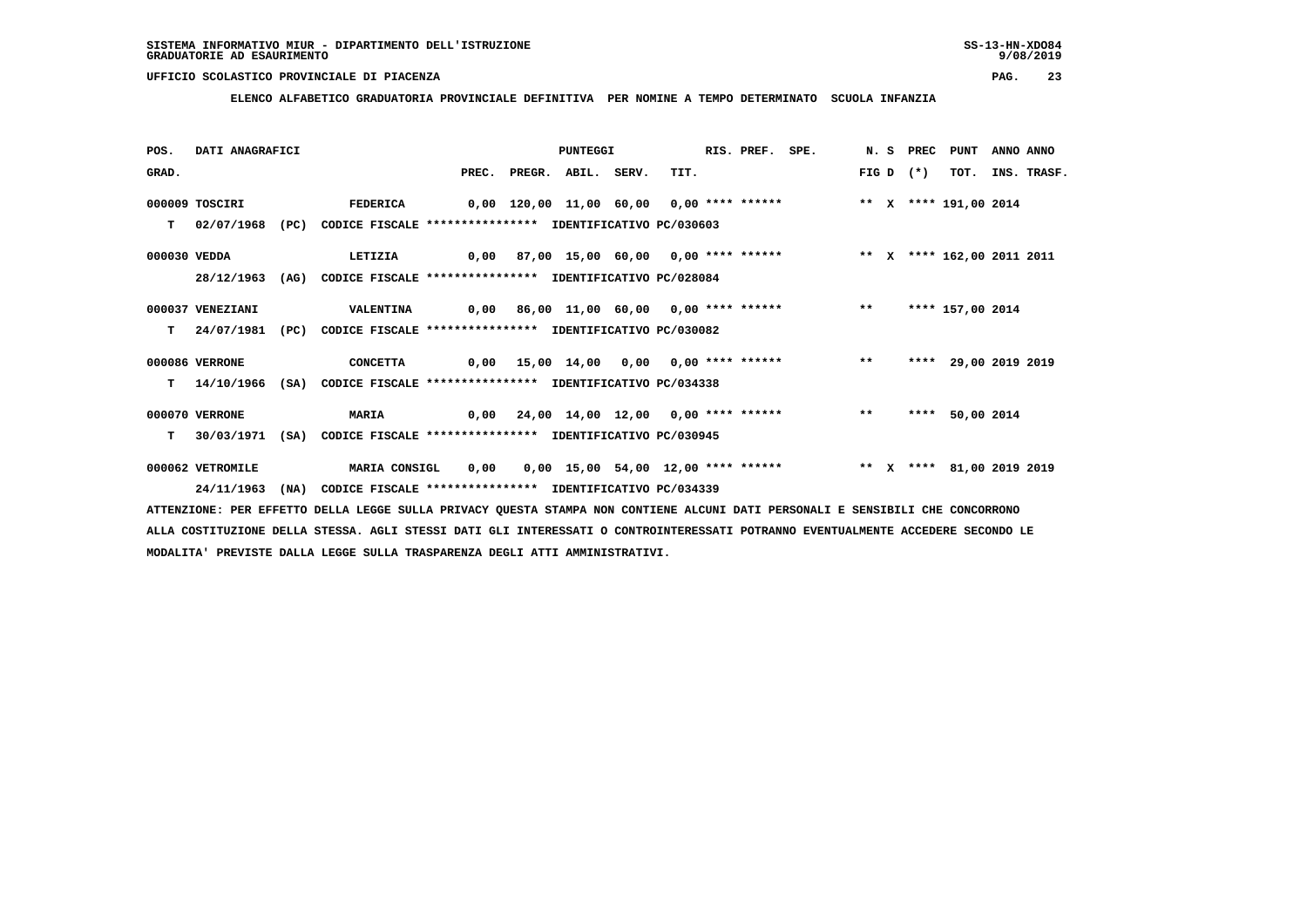**ELENCO ALFABETICO GRADUATORIA PROVINCIALE DEFINITIVA PER NOMINE A TEMPO DETERMINATO SCUOLA INFANZIA**

| POS.         | DATI ANAGRAFICI  |      |                                                                          |  | PUNTEGGI                 |                                                                                              | RIS. PREF. SPE. |       | N.S PREC | <b>PUNT</b>          | ANNO ANNO |                  |
|--------------|------------------|------|--------------------------------------------------------------------------|--|--------------------------|----------------------------------------------------------------------------------------------|-----------------|-------|----------|----------------------|-----------|------------------|
| GRAD.        |                  |      |                                                                          |  | PREC. PREGR. ABIL. SERV. | TIT.                                                                                         |                 | FIG D | $(*)$    |                      |           | TOT. INS. TRASF. |
|              | 000009 TOSCIRI   |      | <b>FEDERICA</b>                                                          |  |                          | 0,00 120,00 11,00 60,00 0,00 **** ****** * *** * *** 191,00 2014                             |                 |       |          |                      |           |                  |
| T.           | 02/07/1968       | (PC) | CODICE FISCALE **************** IDENTIFICATIVO PC/030603                 |  |                          |                                                                                              |                 |       |          |                      |           |                  |
| 000030 VEDDA |                  |      | LETIZIA                                                                  |  |                          | 0,00 87,00 15,00 60,00 0,00 **** ******     ** x **** 162,00 2011 2011                       |                 |       |          |                      |           |                  |
|              | 28/12/1963       | (AG) | CODICE FISCALE **************** IDENTIFICATIVO PC/028084                 |  |                          |                                                                                              |                 |       |          |                      |           |                  |
|              | 000037 VENEZIANI |      | <b>VALENTINA</b>                                                         |  |                          | 0,00 86,00 11,00 60,00 0,00 **** ****** *** **                                               |                 |       |          | **** 157,00 2014     |           |                  |
| т            | 24/07/1981       | (PC) | CODICE FISCALE **************** IDENTIFICATIVO PC/030082                 |  |                          |                                                                                              |                 |       |          |                      |           |                  |
|              | 000086 VERRONE   |      | CONCETTA                                                                 |  |                          | 0,00 15,00 14,00 0,00 0,00 **** ****** *** **                                                |                 |       |          | **** 29,00 2019 2019 |           |                  |
|              | 14/10/1966       | (SA) | CODICE FISCALE **************** IDENTIFICATIVO PC/034338                 |  |                          |                                                                                              |                 |       |          |                      |           |                  |
|              | 000070 VERRONE   |      | <b>MARIA</b>                                                             |  |                          | $0,00$ $24,00$ $14,00$ $12,00$ $0,00$ **** ******                                            |                 |       | ****     | 50,00 2014           |           |                  |
| т            |                  |      | 30/03/1971 (SA) CODICE FISCALE **************** IDENTIFICATIVO PC/030945 |  |                          |                                                                                              |                 |       |          |                      |           |                  |
|              | 000062 VETROMILE |      | <b>MARIA CONSIGL</b>                                                     |  |                          | 0,00  0,00  15,00  54,00  12,00  ****  ******           **    x    ****    81,00  2019  2019 |                 |       |          |                      |           |                  |
|              | 24/11/1963       | (NA) | CODICE FISCALE **************** IDENTIFICATIVO PC/034339                 |  |                          |                                                                                              |                 |       |          |                      |           |                  |